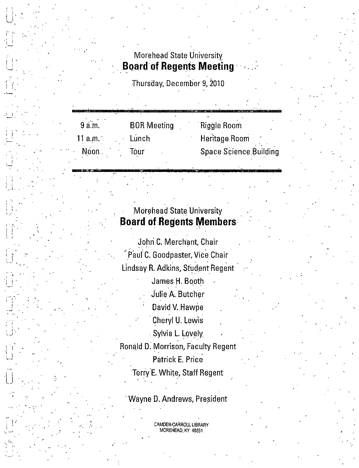# Morehead State University **Board of Regents Meeting**

Thursday, December 9, 2010

| 9a.m.     | <b>BOR Meeting</b> | <b>Riggle Room</b>     |
|-----------|--------------------|------------------------|
| $11$ a.m. | - Lunch            | Heritage Room          |
| Noon      | Tour               | Space Science Building |

# Morehead State University **Board of Regents Members**

John C. Merchant, Chair Paul C. Goodpaster, Vice Chair Lindsay R. Adkins, Student Regent James H. Booth Julie A. Butcher David V. Hawpe Cheryl U. Lewis Sylvia L. Lovely Ronald D. Morrison, Faculty Regent Patrick E. Price Terry E. White, Staff Regent

Wayne D. Andrews, President

CAMDEN-CARROLL LIBRARY MOREHEAD, KY 40351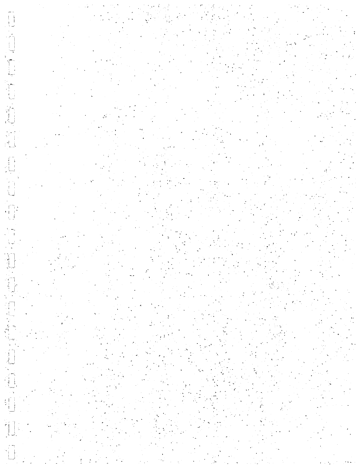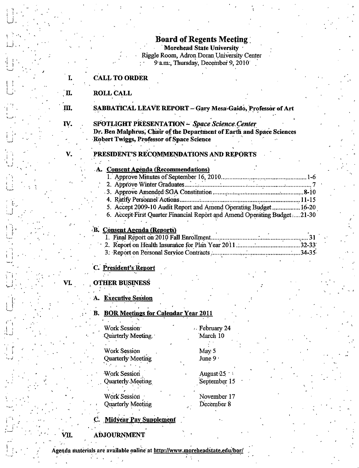# **Board of Regents Meeting**

**Morehead State University** Riggle Room, Adron Doran University Center 9 a.m., Thursday, December 9, 2010

|  | <b>CALL TO ORDER</b> |  |
|--|----------------------|--|
|  |                      |  |
|  |                      |  |

**ROLL CALL** 

Ĩ.

 $\mathbf{u}$ .

Щ,

IV.

V.

# SABBATICAL LEAVE REPORT - Gary Mesa-Gaido, Professor of Art

**SPOTLIGHT PRESENTATION - Space Science Center** Dr. Ben Malphrus, Chair of the Department of Earth and Space Sciences Robert Twiggs, Professor of Space Science

## PRESIDENT'S RECOMMENDATIONS AND REPORTS

### A. Consent Agenda (Recommendations)

| 5. Accept 2009-10 Audit Report and Amend Operating Budget 16-20          |  |
|--------------------------------------------------------------------------|--|
| 6. Accept First Quarter Financial Report and Amend Operating Budget21-30 |  |
|                                                                          |  |

### B. Consent Agenda (Reports)

# C. President's Report

# **OTHER BUSINESS**

# A. Executive Session

# **BOR Meetings for Calendar Year 2011**

| <b>Work Session</b>      | February 24     |
|--------------------------|-----------------|
| Quarterly Meeting        | March 10        |
|                          |                 |
| <b>Work Session</b>      | May, 5          |
| <b>Quarterly Meeting</b> | June $9 \cdot$  |
|                          |                 |
| Work Session             | August $25 - 1$ |
| <b>Quarterly Meeting</b> | September 15    |
|                          |                 |
| Work Session             | November 17     |
| <b>Quarterly Meeting</b> | December 8      |

# C. Midyear Pay Supplement

# **ADJOURNMENT**

VII.

Agenda materials are available online at http://www.moreheadstate.edu/bor/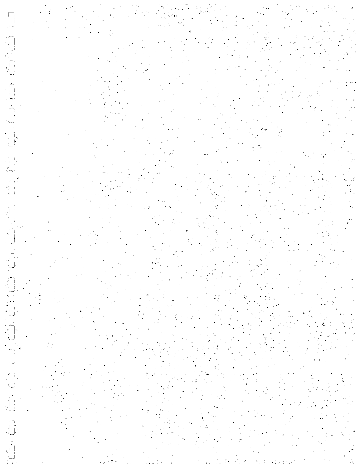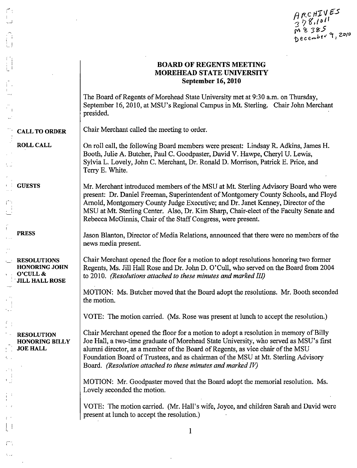# BOARD OF REGENTS MEETING MOREHEAD STATE UNIVERSITY September 16,2010

The Board of Regents of Morehead State University met at 9:30 a.m. on Thursday, September 16, 2010, at MSU's Regional Campus in Mt. Sterling. Chair John Merchant presided.

CALL TO ORDER Chair Merchant called the meeting to order.

 $\overline{\phantom{0}}$ 

ROLLCALL

**GUESTS** 

PRESS

**RESOLUTIONS** 

O'CULL&

HONORING JOHN

. JILL HALL ROSE

**RESOLUTION** HONORING BILLY

JOE HALL

:\_'

I I c ' On roll call, the following Board members were present: Lindsay R. Adkins, James H. Booth, Julie A. Butcher, Paul C. Goodpaster, David V. Hawpe, Cheryl U. Lewis, Sylvia L. Lovely, John C. Merchant, Dr. Ronald D. Morrison, Patrick E. Price, and Terry E. White.

Mr. Merchant introduced members of the MSU at Mt. Sterling Advisory Board who were present: Dr. Daniel Freeman, Superintendent of Montgomery County Schools, and Floyd Arnold, Montgomery County Judge Executive; and Dr. Janet Kenney, Director of the MSU at Mt. Sterling Center. Also, Dr. Kim Sharp, Chair-elect of the Faculty Senate and Rebecca McGinnis, Chair of the Staff Congress, were present.

Jason Blanton, Director of Media Relations, announced that there were no members of the news media present.

Chair Merchant opened the floor for a motion to adopt resolutions honoring two former Regents, Ms. Jill Hall Rose and Dr. John D. O'Cull, who served on the Board from 2004 to 2010. *(Resolutions attached to these minutes and marked III)* 

MOTION: Ms. Butcher moved that the Board adopt the resolutions. Mr. Booth seconded the motion.

VOTE: The motion carried. (Ms. Rose was present at lunch to accept the resolution.)

Chair Merchant opened the floor for a motion to adopt a resolution in memory of Billy Joe Hall, a two-time graduate of Morehead State University, who served as MSU's first alumni director, as a member of the Board of Regents, as vice chair of the MSU Foundation Board of Trustees, and as chairman of the MSU at Mt. Sterling Advisory Board. *(Resolution attached to these minutes and marked IV)* 

MOTION: Mr. Goodpaster moved that the Board adopt the memorial resolution. Ms. Lovely seconded the motion.

VOTE: The motion carried. (Mr. Hall's wife, Joyce, and children Sarah and David were present at lunch to accept the resolution.)

1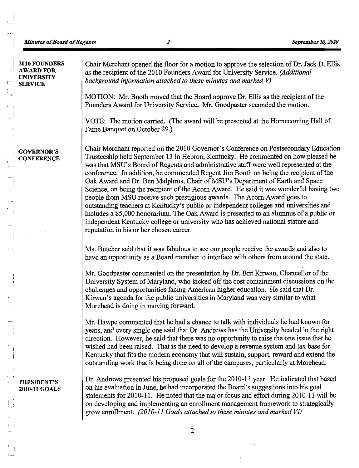'--

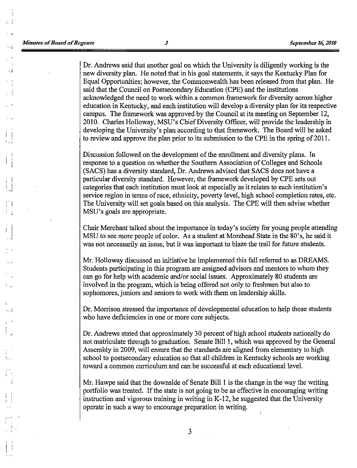'·- I

 $\mathcal{C}(\mathcal{Y})$ 

' ~ -, '

 $\mathcal{A}$ 

'  $\mathbf{I}$  j

 $\prod_{i=1}^n$  $\mathbf{1}$  .

 $\begin{bmatrix} 1 \\ 1 \end{bmatrix}$ 

 $-1$ 

 $\begin{bmatrix} 1 \\ 1 \end{bmatrix}$ 

Dr. Andrews said that another goal on which the University is diligently working is the new diversity plan. He noted that in his goal statements, it says the Kentucky Plan for Equal Opportunities; however, the Commonwealth has been released from that plan. He said that the Council on Postsecondary Education (CPE) and the institutions acknowledged the need to work within a common framework for diversity across higher education in Kentucky, and each institution will develop a diversity plan for its respective campus. The framework was approved by the Council at its meeting on September 12, 2010. Charles Holloway, MSU's Chief Diversity Officer, will provide the leadership in developing the University's plan according to that framework. The Board will be asked to review and approve the plan prior to its submission to the CPE in the spring of2011.

Discussion followed on the development of the emollment and diversity plans. In response to a question on whether the Southern Association of Colleges and Schools (SACS) has a diversity standard, Dr. Andrews advised that SACS does not have a particular diversity standard. However, the framework developed by CPE sets out categories that each institution must look at especially as it relates to each institution's service region in terms of race, ethnicity, poverty level, high school completion rates, etc. The University will set goals based on this analysis. The CPE will then advise whether MSU's goals are appropriate.

Chair Merchant talked about the importance in today's society for young people attending MSU to see more people of color. As a student at Morehead State in the 80's, he said it was not necessarily an issue, but it was important to blaze the trail for future students.

Mr. Holloway discussed an initiative he implemented this fall referred to as DREAMS. Students participating in this program are assigned advisors and mentors to whom they can go for help with academic and/or social issues. Approximately 80 students are involved in the program, which is being offered not only to freshmen but also to sophomores, juniors and seniors to work with them on leadership skills.

Dr. Morrison stressed the importance of developmental education to help those students who have deficiencies in one or more core subjects.

Dr. Andrews stated that approximately 30 percent of high school students nationally do not matriculate through to graduation. Senate Bill 1, which was approved by the General Assembly in 2009, will ensure that the standards are aligned from elementary to high school to postsecondary education so that all children in Kentucky schools are working toward a common curriculum and can be successful at each educational level.

Mr. Hawpe said that the downside of Senate Bill I is the change in the way the writing portfolio was treated. If the state is not going to be as effective in encouraging writing instruction and vigorous training in writing in K-12, he suggested that the University operate in such a way to encourage preparation in writing.

3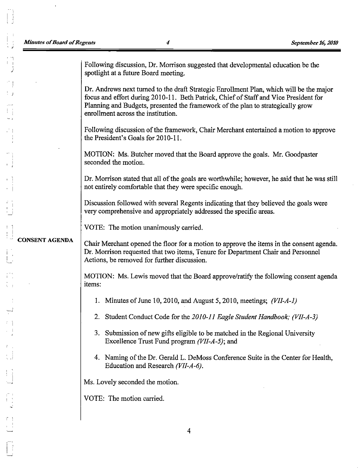*Minutes of Board of Regents 4 September 16, 2010* 

1 ' )

Following discussion, Dr. Morrison suggested that developmental education be the spotlight at a future Board meeting.

Dr. Andrews next turned to the draft Strategic Enrollment Plan, which will be the major focus and effort during 2010-11. Beth Patrick, Chief of Staff and Vice President for Planning and Budgets, presented the framework of the plan to strategically grow enrollment across the institution.

Following discussion of the framework, Chair Merchant entertained a motion to approve the President's Goals for 2010-11.

MOTION: Ms. Butcher moved that the Board approve the goals. Mr. Goodpaster seconded the motion.

Dr. Morrison stated that all of the goals are worthwhile; however, he said that he was still not entirely comfortable that they were specific enough.

Discussion followed with several Regents indicating that they believed the goals were very comprehensive and appropriately addressed the specific areas.

VOTE: The motion unanimously carried.

CONSENT AGENDA

 $\downarrow$ 

 $( \ \ )$ 

Chair Merchant opened the floor for a motion to approve the items in the consent agenda. Dr. Morrison requested that two items, Tenure for Department Chair and Personnel Actions, be removed for further discussion.

MOTION: Ms. Lewis moved that the Board approve/ratify the following consent agenda items:

- 1. Minutes of June 10, 2010, and August 5, 2010, meetings; *(VII-A-1)*
- 2. Student Conduct Code for the *2010-11 Eagle Student Handbook; {Vll-A-3)*
- 3. Submission of new gifts eligible to be matched in the Regional University Excellence Trust Fund program *{Vll-A-5);* and
- 4. Naming of the Dr. Gerald L. DeMoss Conference Suite in the Center for Health, Education and Research *{Vll-A-6).*

Ms. Lovely seconded the motion.

VOTE: The motion carried.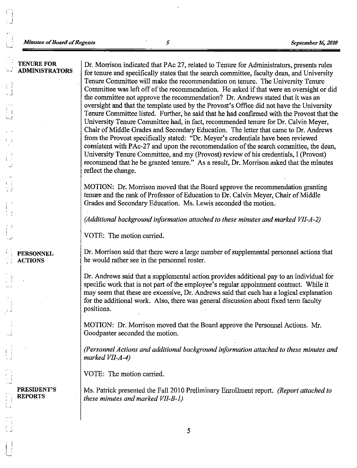#### TENURE FOR ADMINISTRATORS

 $\cdot$  -J

 $! \perp$ L)

Dr. Morrison indicated that PAc 27, related to Tenure for Administrators, presents rules for tenure and specifically states that the search committee, faculty dean, and University Tenure Committee will make the recommendation on tenure. The University Tenure Committee was left off of the recommendation. He asked if that were an oversight or did the committee not approve the recommendation? Dr. Andrews stated that it was an oversight and that the template used by the Provost's Office did not have the University Tenure Committee listed. Further, he said that he had confirmed with the Provost that the University Tenure Committee had, in fact, recommended tenure for Dr. Calvin Meyer, Chair of Middle Grades and Secondary Education. The letter that came to Dr. Andrews from the Provost specifically stated: "Dr. Meyer's credentials have been reviewed consistent with PAc-27 and upon the recommendation of the search committee, the dean, University Tenure Committee, and my (Provost) review of his credentials, I (Provost) recommend that he be granted tenure." As a result, Dr. Morrison asked that the minutes reflect the change.

MOTION: Dr. Morrison moved that the Board approve the recommendation granting tenure and the rank of Professor of Education to Dr. Calvin Meyer, Chair of Middle Grades and Secondary Education. Ms. Lewis seconded the motion.-

*(Additional background information attached to these minutes and marked VII-A-2)* 

VOTE: The motion carried.

Dr. Morrison said that there were a large number of supplemental personnel actions that he would rather see in the personnel roster.

Dr. Andrews said that a supplemental action provides additional pay to an individual for specific work that is not part of the employee's regular appointment contract. While it may seem that these are excessive, Dr. Andrews said that each has a logical explanation for the additional work. Also, there was general discussion about fixed term faculty positions.

MOTION: Dr. Morrison moved that the Board approve the Personnel Actions. Mr. Goodpaster seconded the motion.

*(Personnel Actions and additional background information attached to these minutes and marked VII-A-4)* 

VOTE: The motion carried.

Ms. Patrick presented the Fall2010 Preliminary Enrollment report. *(Report attached to these minutes and marked VII-B-1)* 

### PERSONNEL ACTIONS

PRESIDENT'S REPORTS

 $\frac{1}{2}$ 

 $\mathbf{i}$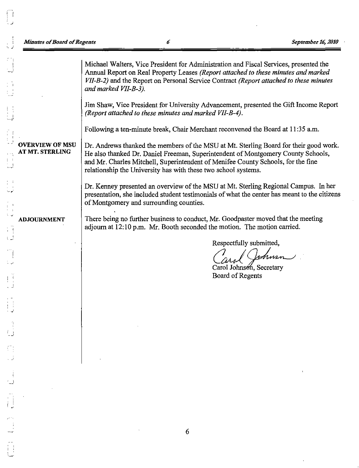' *Minutes of Board of Regents* 6 *September 16, 2010* 

'- )  $\overline{\phantom{a}}^+_{x'}$ I ' I ', ~ l \_; *i*  ' I I J I I -~ ' J  $\bigcup$ 

 $\cdot$  .

Michael Walters, Vice President for Administration and Fiscal Services, presented the Annual Report on Real Property Leases *(Report attached to these minutes and marked VIJ-B-2)* and the Report on Personal Service Contract *(Report attached to these minutes and marked VII-B-3).* 

Jim Shaw, Vice President for University Advancement, presented the Gift Income Report *(Report attached to these minutes and marked VII-B-4).* 

Following a ten-minute break, Chair Merchant reconvened the Board at 11:35 a.m.

**OVERVIEW OF MSU AT MT. STERLING** 

Dr. Andrews thanked the members of the MSU at Mt. Sterling Board for their good work. He also thanked Dr. Daniel Freeman, Superintendent of Montgomery County Schools, and Mr. Charles Mitchell, Superintendent of Menifee County Schools, for the fine relationship the University has with these two school systems.

Dr. Kenney presented an overview of the MSU at Mt. Sterling Regional Campus. In her presentation, she included student testimonials of what the center has meant to the citizens of Montgomery and surrounding counties.

**ADJOURNMENT** 

There being no further business to conduct, Mr. Goodpaster moved that the meeting adjourn at 12:10 p.m. Mr. Booth seconded the motion. The motion carried.

Respectfully submitted,

 $l$ *Adamno* 

Carol Johnsen, Secretary Board of Regents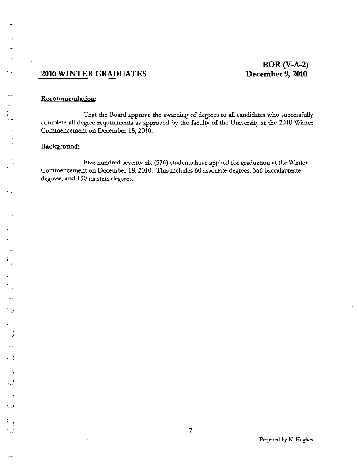# **2010 WINTER GRADUATES**

# **Recommendation:**

That the Board approve the awarding of degrees to all candidates who successfully complete all degree requirements as approved by the faculty of the University at the 2010 Winter Commencement on December 18,2010.

### **Background:**

Five hundred seventy-six (576) students have applied for graduation at the Winter Commencement on December 18, 2010. This includes 60 associate degrees, 366 baccalaureate degrees, and 150 masters degrees.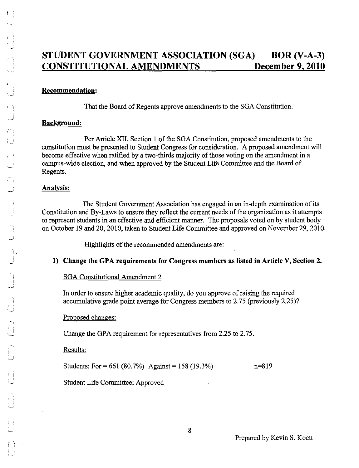# **STUDENT GOVERNMENT ASSOCIATION (SGA) BOR (V-A-3) CONSTITUTIONAL AMENDMENTS December 9, 2010**

# <sup>1</sup>**Recommendation:** ~J

That the Board of Regents approve amendments to the SGA Constitution.

# **Background:**

Per Article XII, Section 1 of the SGA Constitution, proposed amendments to the constitution must be presented to Student Congress for consideration. A proposed amendment will become effective when ratified by a two-thirds majority of those voting on the amendment in a campus-wide election, and when approved by the Student Life Committee and the Board of Regents.

## **Analysis:**

The Student Government Association has engaged in an in-depth examination of its Constitution and By-Laws to ensure they reflect the current needs of the organization as it attempts to represent students in an effective and efficient manner. The proposals voted on by student body on October 19 and20, 2010, taken to Student Life Committee and approved on November 29,2010.

Highlights of the recommended amendments are:

**1) Change the GPA requirements for Congress members as listed in Article V, Section 2.** 

# SGA Constitutional Amendment 2

In order to ensure higher academic quality, do you approve of raising the required accumulative grade point average for Congress members to 2.75 (previously 2.25)?

Proposed changes:

Change the GPA requirement for representatives from 2.25 to 2.75.

Results:

Students: For = 661 (80.7%) Against = 158 (19.3%) n=819

Student Life Committee: Approved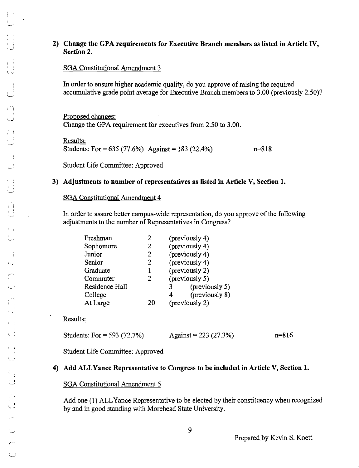# **2) Change the GPA requirements for Executive Branch members as listed in Article IV, Section 2.**

# SGA Constitutional Amendment 3

In order to ensure higher academic quality, do you approve of raising the required accumulative grade point average for Executive Branch members to 3.00 (previously 2.50)?

Proposed changes: Change the GPA requirement for executives from 2.50 to 3.00.

Results: Students: For =  $635 (77.6%)$  Against = 183 (22.4%) n=818

Student Life Committee: Approved

# **3) Adjustments to number of representatives as listed in Article V, Section 1.**

# SGA Constitutional Amendment 4

In order to assure better campus-wide representation, do you approve of the following adjustments to the number of Representatives in Congress?

|    | (previously 4)      |
|----|---------------------|
| 2  | (previously 4)      |
| 2  | (previously 4)      |
| 2  | (previously 4)      |
|    | (previously 2)      |
|    | (previously 5)      |
|    | (previously 5)<br>3 |
|    | (previously 8)<br>4 |
| ንበ | (previously 2)      |
|    |                     |

# Results:

Students: For= 593 (72.7%)

Against =  $223 (27.3%)$  n=816

Student Life Committee: Approved

# **4) Add ALLY ance Representative to Congress to be included in Article V, Section 1.**

# SGA Constitutional Amendment 5

Add one (1) ALLY ance Representative to be elected by their constituency when recognized by and in good standing with Morehead State University.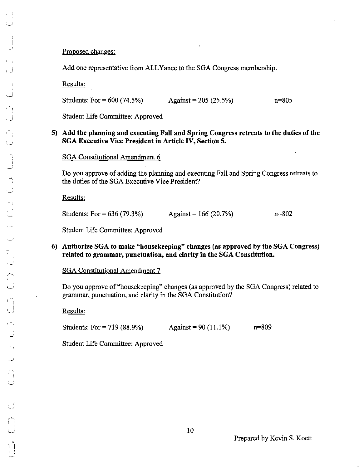Add one representative from ALLY ance to the SGA Congress membership,

Results:

Students: For = 600 (74.5%)  $\text{Again } = 205 \, (25.5\%)$  n=805

Student Life Committee: Approved

# 5) Add the planning and executing Fall and Spring Congress retreats to the duties of the SGA Executive Vice President in Article IV, Section 5.

SGA Constitutional Amendment 6

Do you approve of adding the planning and executing Fall and Spring Congress retreats to the duties of the SGA Executive Vice President?

Results:

Students: For =  $636 (79.3\%)$  Against =  $166 (20.7\%)$  n=802

Student Life Committee: Approved

6) Authorize SGA to make "housekeeping" changes (as approved by the SGA Congress) related to grammar, punctuation, and clarity in the SGA Constitution.

SGA Constitutional Amendment 7

Do you approve of"housekeeping" changes (as approved by the SGA Congress) related to grammar, punctuation, and clarity in the SGA Constitution?

Results:

Students: For = 719 (88.9%) Against = 90 (11.1%)  $n=809$ 

Student Life Committee: Approved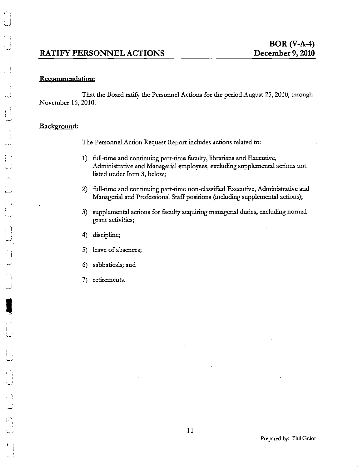# **Recommendation:**

That the Board ratify the Personnel Actions for the period August 25, 2010, through November 16, 2010.

# **Background:**

The Personnel Action Request Report includes actions related to:

- 1) full-time and continuing part-time faculty, librarians and Executive, Administrative and Managerial employees, excluding supplemental actions not listed under Item 3, below;
- 2) full-time and continuing part-time non-classified Executive, Administrative and Managerial and Professional Staff positions (including supplemental actions);
- 3) supplemental actions for faculty acquiring managerial duties, excluding normal grant activities;
- 4) discipline;
- 5) leave of absences;
- 6) sabbaticals; and
- 7) retirements.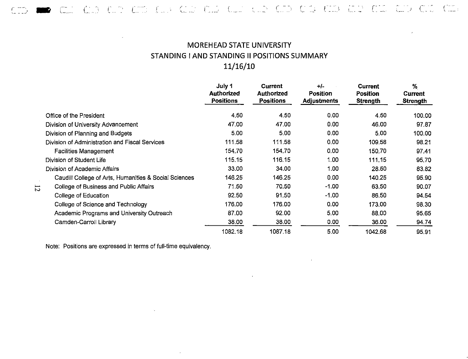con con consideration con una consideration con consideration consideration consideration consideration consideration consideration consideration consideration consideration consideration consideration consideration consid

# MOREHEAD STATE UNIVERSITY STANDING I AND STANDING II POSITIONS SUMMARY  $11/16/10$

|                |                                                       | July 1<br><b>Authorized</b><br><b>Positions</b> | Current<br><b>Authorized</b><br><b>Positions</b> | $+/-$<br><b>Position</b><br><b>Adjustments</b> | <b>Current</b><br><b>Position</b><br><b>Strength</b> | %<br><b>Current</b><br><b>Strength</b> |
|----------------|-------------------------------------------------------|-------------------------------------------------|--------------------------------------------------|------------------------------------------------|------------------------------------------------------|----------------------------------------|
|                | Office of the President                               | 4.50                                            | 4.50                                             | 0.00                                           | 4.50                                                 | 100.00                                 |
|                | Division of University Advancement                    | 47.00                                           | 47.00                                            | 0.00                                           | 46.00                                                | 97.87                                  |
|                | Division of Planning and Budgets                      | 5.00                                            | 5.00                                             | 0.00                                           | 5.00                                                 | 100.00                                 |
|                | Division of Administration and Fiscal Services        | 111.58                                          | 111.58                                           | 0.00                                           | 109.58                                               | 98.21                                  |
|                | <b>Facilities Management</b>                          | 154.70                                          | 154.70                                           | 0.00                                           | 150.70                                               | 97.41                                  |
|                | Division of Student Life                              | 115.15                                          | 116.15                                           | 1.00                                           | 111.15                                               | 95.70                                  |
|                | Division of Academic Affairs                          | 33.00                                           | 34.00                                            | 1.00                                           | 28.50                                                | 83.82                                  |
|                | Caudill College of Arts, Humanities & Social Sciences | 146.25                                          | 146.25                                           | 0.00                                           | 140.25                                               | 95.90                                  |
| $\overline{z}$ | College of Business and Public Affairs                | 71.50                                           | 70.50                                            | $-1.00$                                        | 63,50                                                | 90.07                                  |
|                | College of Education                                  | 92.50                                           | 91.50                                            | $-1.00$                                        | 86,50                                                | 94.54                                  |
|                | College of Science and Technology                     | 176.00                                          | 176.00                                           | 0.00                                           | 173.00                                               | 98.30                                  |
|                | Academic Programs and University Outreach             | 87.00                                           | 92.00                                            | 5.00                                           | 88.00                                                | 95.65                                  |
|                | Camden-Carroll Library                                | 38.00                                           | 38.00                                            | 0.00                                           | 36.00                                                | 94.74                                  |
|                |                                                       | 1082.18                                         | 1087.18                                          | 5.00                                           | 1042,68                                              | 95.91                                  |

 $\sim$ 

Note: Positions are expressed in terms of full-time equivalency.

 $\sim 10^{11}$ 

 $\bar{\alpha}$ 

 $\tau =$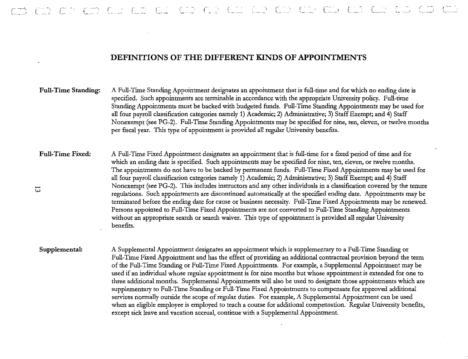# **DEFINITIONS OF THE DIFFERENT KINDS OF APPOINTMENTS**

| <b>Full-Time Standing:</b>           | A Full-Time Standing Appointment designates an appointment that is full-time and for which no ending date is<br>specified. Such appointments are terminable in accordance with the appropriate University policy. Full-time<br>Standing Appointments must be backed with budgeted funds. Full-Time Standing Appointments may be used for<br>all four payroll classification categories namely 1) Academic; 2) Administrative; 3) Staff Exempt; and 4) Staff<br>Nonexempt (see PG-2). Full-Time Standing Appointments may be specified for nine, ten, eleven, or twelve months<br>per fiscal year. This type of appointment is provided all regular University benefits.                                                                                                                                                                                                                                                                                                                                                                                            |
|--------------------------------------|--------------------------------------------------------------------------------------------------------------------------------------------------------------------------------------------------------------------------------------------------------------------------------------------------------------------------------------------------------------------------------------------------------------------------------------------------------------------------------------------------------------------------------------------------------------------------------------------------------------------------------------------------------------------------------------------------------------------------------------------------------------------------------------------------------------------------------------------------------------------------------------------------------------------------------------------------------------------------------------------------------------------------------------------------------------------|
| <b>Full-Time Fixed:</b><br>$\vec{u}$ | A Full-Time Fixed Appointment designates an appointment that is full-time for a fixed period of time and for<br>which an ending date is specified. Such appointments may be specified for nine, ten, eleven, or twelve months.<br>The appointments do not have to be backed by permanent funds. Full-Time Fixed Appointments may be used for<br>all four payroll classification categories namely 1) Academic; 2) Administrative; 3) Staff Exempt; and 4) Staff<br>Nonexempt (see PG-2). This includes instructors and any other individuals in a classification covered by the tenure<br>regulations. Such appointments are discontinued automatically at the specified ending date. Appointments may be<br>terminated before the ending date for cause or business necessity. Full-Time Fixed Appointments may be renewed.<br>Persons appointed to Full-Time Fixed Appointments are not converted to Full-Time Standing Appointments<br>without an appropriate search or search waiver. This type of appointment is provided all regular University<br>benefits. |
| Supplemental:                        | A Supplemental Appointment designates an appointment which is supplementary to a Full-Time Standing or<br>Full-Time Fixed Appointment and has the effect of providing an additional contractual provision beyond the term<br>of the Full-Time Standing or Full-Time Fixed Appointments. For example, a Supplemental Appointment may be<br>used if an individual whose regular appointment is for nine months but whose appointment is extended for one to<br>three additional months. Supplemental Appointments will also be used to designate those appointments which are<br>supplementary to Full-Time Standing or Full-Time Fixed Appointments to compensate for approved additional<br>services normally outside the scope of regular duties. For example, A Supplemental Appointment can be used<br>when an eligible employee is employed to teach a course for additional compensation. Regular University benefits,<br>except sick leave and vacation accrual, continue with a Supplemental Appointment.                                                   |

 $\sim$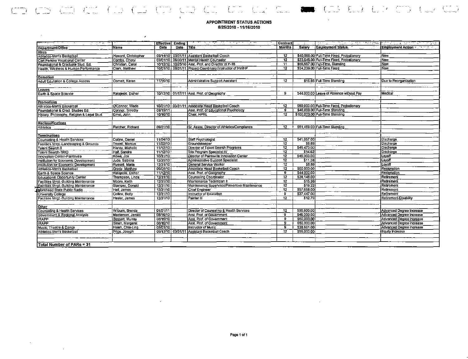# **APPOINTMENT STATUS ACTIONS**<br>8/25/2010 - 11/16/2010

 $\mathbf{L}$ 

 $\sim 10^{-1}$ 

 $\mathcal{L}(\mathcal{L}(\mathcal{L}(\mathcal{L}(\mathcal{L}(\mathcal{L}(\mathcal{L}(\mathcal{L}(\mathcal{L}(\mathcal{L}(\mathcal{L}(\mathcal{L}(\mathcal{L}(\mathcal{L}(\mathcal{L}(\mathcal{L}(\mathcal{L}(\mathcal{L}(\mathcal{L}(\mathcal{L}(\mathcal{L}(\mathcal{L}(\mathcal{L}(\mathcal{L}(\mathcal{L}(\mathcal{L}(\mathcal{L}(\mathcal{L}(\mathcal{L}(\mathcal{L}(\mathcal{L}(\mathcal{L}(\mathcal{L}(\mathcal{L}(\mathcal{L}(\mathcal{L}(\mathcal{$ 

 $\begin{picture}(220,20) \put(0,0){\line(1,0){10}} \put(15,0){\line(1,0){10}} \put(15,0){\line(1,0){10}} \put(15,0){\line(1,0){10}} \put(15,0){\line(1,0){10}} \put(15,0){\line(1,0){10}} \put(15,0){\line(1,0){10}} \put(15,0){\line(1,0){10}} \put(15,0){\line(1,0){10}} \put(15,0){\line(1,0){10}} \put(15,0){\line(1,0){10}} \put(15,0){\line($ 

 $\sim 10^{11}$  km  $^{-1}$ 

 $\mathcal{O}(\mathcal{A}^{\mathcal{A}})$  and  $\mathcal{O}(\mathcal{A}^{\mathcal{A}})$ 

 $\sim 10^{11}$ 

 $\mathcal{L}^{\mathcal{L}}$ 

and the state of the

| Name                | Date                                                                                                                                                                                                                                                                                                                                                                                                                                                                                                   |            |                                                                                                                                                                                                                                                                                              |                                                                                                                                                                                                                                                                                                                                                                                                                                                                                                                                                                                                                                                                                                                                                                                                                                                                                                                                                                                                                                                                                                                                                        |                                                                                                                                                                                                                                                                                  |                                                                                                                                                                                                                                                                                          |                                                                                                                                                                                                                                                                                                                                                                                        |
|---------------------|--------------------------------------------------------------------------------------------------------------------------------------------------------------------------------------------------------------------------------------------------------------------------------------------------------------------------------------------------------------------------------------------------------------------------------------------------------------------------------------------------------|------------|----------------------------------------------------------------------------------------------------------------------------------------------------------------------------------------------------------------------------------------------------------------------------------------------|--------------------------------------------------------------------------------------------------------------------------------------------------------------------------------------------------------------------------------------------------------------------------------------------------------------------------------------------------------------------------------------------------------------------------------------------------------------------------------------------------------------------------------------------------------------------------------------------------------------------------------------------------------------------------------------------------------------------------------------------------------------------------------------------------------------------------------------------------------------------------------------------------------------------------------------------------------------------------------------------------------------------------------------------------------------------------------------------------------------------------------------------------------|----------------------------------------------------------------------------------------------------------------------------------------------------------------------------------------------------------------------------------------------------------------------------------|------------------------------------------------------------------------------------------------------------------------------------------------------------------------------------------------------------------------------------------------------------------------------------------|----------------------------------------------------------------------------------------------------------------------------------------------------------------------------------------------------------------------------------------------------------------------------------------------------------------------------------------------------------------------------------------|
|                     |                                                                                                                                                                                                                                                                                                                                                                                                                                                                                                        | Date Title |                                                                                                                                                                                                                                                                                              | Months                                                                                                                                                                                                                                                                                                                                                                                                                                                                                                                                                                                                                                                                                                                                                                                                                                                                                                                                                                                                                                                                                                                                                 | Salary                                                                                                                                                                                                                                                                           | <b>Employment Status</b>                                                                                                                                                                                                                                                                 | Employment Action                                                                                                                                                                                                                                                                                                                                                                      |
|                     |                                                                                                                                                                                                                                                                                                                                                                                                                                                                                                        |            |                                                                                                                                                                                                                                                                                              |                                                                                                                                                                                                                                                                                                                                                                                                                                                                                                                                                                                                                                                                                                                                                                                                                                                                                                                                                                                                                                                                                                                                                        |                                                                                                                                                                                                                                                                                  |                                                                                                                                                                                                                                                                                          |                                                                                                                                                                                                                                                                                                                                                                                        |
| Howard, Christopher |                                                                                                                                                                                                                                                                                                                                                                                                                                                                                                        |            |                                                                                                                                                                                                                                                                                              |                                                                                                                                                                                                                                                                                                                                                                                                                                                                                                                                                                                                                                                                                                                                                                                                                                                                                                                                                                                                                                                                                                                                                        |                                                                                                                                                                                                                                                                                  |                                                                                                                                                                                                                                                                                          | )New                                                                                                                                                                                                                                                                                                                                                                                   |
| Combs, Chervi       |                                                                                                                                                                                                                                                                                                                                                                                                                                                                                                        |            |                                                                                                                                                                                                                                                                                              |                                                                                                                                                                                                                                                                                                                                                                                                                                                                                                                                                                                                                                                                                                                                                                                                                                                                                                                                                                                                                                                                                                                                                        |                                                                                                                                                                                                                                                                                  |                                                                                                                                                                                                                                                                                          | <b>INew</b>                                                                                                                                                                                                                                                                                                                                                                            |
| Christian, Carol    |                                                                                                                                                                                                                                                                                                                                                                                                                                                                                                        |            |                                                                                                                                                                                                                                                                                              | 11                                                                                                                                                                                                                                                                                                                                                                                                                                                                                                                                                                                                                                                                                                                                                                                                                                                                                                                                                                                                                                                                                                                                                     |                                                                                                                                                                                                                                                                                  |                                                                                                                                                                                                                                                                                          | <b>New</b>                                                                                                                                                                                                                                                                                                                                                                             |
| Clark, Matthew      |                                                                                                                                                                                                                                                                                                                                                                                                                                                                                                        |            |                                                                                                                                                                                                                                                                                              |                                                                                                                                                                                                                                                                                                                                                                                                                                                                                                                                                                                                                                                                                                                                                                                                                                                                                                                                                                                                                                                                                                                                                        |                                                                                                                                                                                                                                                                                  |                                                                                                                                                                                                                                                                                          | New                                                                                                                                                                                                                                                                                                                                                                                    |
|                     |                                                                                                                                                                                                                                                                                                                                                                                                                                                                                                        |            |                                                                                                                                                                                                                                                                                              |                                                                                                                                                                                                                                                                                                                                                                                                                                                                                                                                                                                                                                                                                                                                                                                                                                                                                                                                                                                                                                                                                                                                                        |                                                                                                                                                                                                                                                                                  |                                                                                                                                                                                                                                                                                          |                                                                                                                                                                                                                                                                                                                                                                                        |
|                     |                                                                                                                                                                                                                                                                                                                                                                                                                                                                                                        |            |                                                                                                                                                                                                                                                                                              |                                                                                                                                                                                                                                                                                                                                                                                                                                                                                                                                                                                                                                                                                                                                                                                                                                                                                                                                                                                                                                                                                                                                                        |                                                                                                                                                                                                                                                                                  |                                                                                                                                                                                                                                                                                          |                                                                                                                                                                                                                                                                                                                                                                                        |
|                     |                                                                                                                                                                                                                                                                                                                                                                                                                                                                                                        |            |                                                                                                                                                                                                                                                                                              |                                                                                                                                                                                                                                                                                                                                                                                                                                                                                                                                                                                                                                                                                                                                                                                                                                                                                                                                                                                                                                                                                                                                                        |                                                                                                                                                                                                                                                                                  |                                                                                                                                                                                                                                                                                          | Due to Reorganization                                                                                                                                                                                                                                                                                                                                                                  |
|                     |                                                                                                                                                                                                                                                                                                                                                                                                                                                                                                        |            |                                                                                                                                                                                                                                                                                              |                                                                                                                                                                                                                                                                                                                                                                                                                                                                                                                                                                                                                                                                                                                                                                                                                                                                                                                                                                                                                                                                                                                                                        |                                                                                                                                                                                                                                                                                  |                                                                                                                                                                                                                                                                                          |                                                                                                                                                                                                                                                                                                                                                                                        |
|                     |                                                                                                                                                                                                                                                                                                                                                                                                                                                                                                        |            |                                                                                                                                                                                                                                                                                              |                                                                                                                                                                                                                                                                                                                                                                                                                                                                                                                                                                                                                                                                                                                                                                                                                                                                                                                                                                                                                                                                                                                                                        |                                                                                                                                                                                                                                                                                  |                                                                                                                                                                                                                                                                                          |                                                                                                                                                                                                                                                                                                                                                                                        |
|                     |                                                                                                                                                                                                                                                                                                                                                                                                                                                                                                        |            |                                                                                                                                                                                                                                                                                              |                                                                                                                                                                                                                                                                                                                                                                                                                                                                                                                                                                                                                                                                                                                                                                                                                                                                                                                                                                                                                                                                                                                                                        |                                                                                                                                                                                                                                                                                  |                                                                                                                                                                                                                                                                                          | <b>IMedical</b>                                                                                                                                                                                                                                                                                                                                                                        |
|                     |                                                                                                                                                                                                                                                                                                                                                                                                                                                                                                        |            |                                                                                                                                                                                                                                                                                              |                                                                                                                                                                                                                                                                                                                                                                                                                                                                                                                                                                                                                                                                                                                                                                                                                                                                                                                                                                                                                                                                                                                                                        |                                                                                                                                                                                                                                                                                  |                                                                                                                                                                                                                                                                                          |                                                                                                                                                                                                                                                                                                                                                                                        |
|                     |                                                                                                                                                                                                                                                                                                                                                                                                                                                                                                        |            |                                                                                                                                                                                                                                                                                              |                                                                                                                                                                                                                                                                                                                                                                                                                                                                                                                                                                                                                                                                                                                                                                                                                                                                                                                                                                                                                                                                                                                                                        |                                                                                                                                                                                                                                                                                  |                                                                                                                                                                                                                                                                                          |                                                                                                                                                                                                                                                                                                                                                                                        |
|                     |                                                                                                                                                                                                                                                                                                                                                                                                                                                                                                        |            |                                                                                                                                                                                                                                                                                              |                                                                                                                                                                                                                                                                                                                                                                                                                                                                                                                                                                                                                                                                                                                                                                                                                                                                                                                                                                                                                                                                                                                                                        |                                                                                                                                                                                                                                                                                  |                                                                                                                                                                                                                                                                                          |                                                                                                                                                                                                                                                                                                                                                                                        |
|                     |                                                                                                                                                                                                                                                                                                                                                                                                                                                                                                        |            |                                                                                                                                                                                                                                                                                              |                                                                                                                                                                                                                                                                                                                                                                                                                                                                                                                                                                                                                                                                                                                                                                                                                                                                                                                                                                                                                                                                                                                                                        |                                                                                                                                                                                                                                                                                  |                                                                                                                                                                                                                                                                                          |                                                                                                                                                                                                                                                                                                                                                                                        |
|                     |                                                                                                                                                                                                                                                                                                                                                                                                                                                                                                        |            |                                                                                                                                                                                                                                                                                              |                                                                                                                                                                                                                                                                                                                                                                                                                                                                                                                                                                                                                                                                                                                                                                                                                                                                                                                                                                                                                                                                                                                                                        |                                                                                                                                                                                                                                                                                  |                                                                                                                                                                                                                                                                                          |                                                                                                                                                                                                                                                                                                                                                                                        |
|                     |                                                                                                                                                                                                                                                                                                                                                                                                                                                                                                        |            |                                                                                                                                                                                                                                                                                              |                                                                                                                                                                                                                                                                                                                                                                                                                                                                                                                                                                                                                                                                                                                                                                                                                                                                                                                                                                                                                                                                                                                                                        |                                                                                                                                                                                                                                                                                  |                                                                                                                                                                                                                                                                                          |                                                                                                                                                                                                                                                                                                                                                                                        |
|                     |                                                                                                                                                                                                                                                                                                                                                                                                                                                                                                        |            |                                                                                                                                                                                                                                                                                              |                                                                                                                                                                                                                                                                                                                                                                                                                                                                                                                                                                                                                                                                                                                                                                                                                                                                                                                                                                                                                                                                                                                                                        |                                                                                                                                                                                                                                                                                  |                                                                                                                                                                                                                                                                                          |                                                                                                                                                                                                                                                                                                                                                                                        |
|                     |                                                                                                                                                                                                                                                                                                                                                                                                                                                                                                        |            |                                                                                                                                                                                                                                                                                              |                                                                                                                                                                                                                                                                                                                                                                                                                                                                                                                                                                                                                                                                                                                                                                                                                                                                                                                                                                                                                                                                                                                                                        |                                                                                                                                                                                                                                                                                  |                                                                                                                                                                                                                                                                                          |                                                                                                                                                                                                                                                                                                                                                                                        |
|                     |                                                                                                                                                                                                                                                                                                                                                                                                                                                                                                        |            |                                                                                                                                                                                                                                                                                              |                                                                                                                                                                                                                                                                                                                                                                                                                                                                                                                                                                                                                                                                                                                                                                                                                                                                                                                                                                                                                                                                                                                                                        |                                                                                                                                                                                                                                                                                  |                                                                                                                                                                                                                                                                                          |                                                                                                                                                                                                                                                                                                                                                                                        |
|                     |                                                                                                                                                                                                                                                                                                                                                                                                                                                                                                        |            |                                                                                                                                                                                                                                                                                              |                                                                                                                                                                                                                                                                                                                                                                                                                                                                                                                                                                                                                                                                                                                                                                                                                                                                                                                                                                                                                                                                                                                                                        |                                                                                                                                                                                                                                                                                  |                                                                                                                                                                                                                                                                                          |                                                                                                                                                                                                                                                                                                                                                                                        |
|                     |                                                                                                                                                                                                                                                                                                                                                                                                                                                                                                        |            |                                                                                                                                                                                                                                                                                              |                                                                                                                                                                                                                                                                                                                                                                                                                                                                                                                                                                                                                                                                                                                                                                                                                                                                                                                                                                                                                                                                                                                                                        |                                                                                                                                                                                                                                                                                  |                                                                                                                                                                                                                                                                                          | <b>Discharge</b>                                                                                                                                                                                                                                                                                                                                                                       |
|                     |                                                                                                                                                                                                                                                                                                                                                                                                                                                                                                        |            |                                                                                                                                                                                                                                                                                              |                                                                                                                                                                                                                                                                                                                                                                                                                                                                                                                                                                                                                                                                                                                                                                                                                                                                                                                                                                                                                                                                                                                                                        |                                                                                                                                                                                                                                                                                  |                                                                                                                                                                                                                                                                                          | Discharge                                                                                                                                                                                                                                                                                                                                                                              |
|                     |                                                                                                                                                                                                                                                                                                                                                                                                                                                                                                        |            |                                                                                                                                                                                                                                                                                              |                                                                                                                                                                                                                                                                                                                                                                                                                                                                                                                                                                                                                                                                                                                                                                                                                                                                                                                                                                                                                                                                                                                                                        |                                                                                                                                                                                                                                                                                  |                                                                                                                                                                                                                                                                                          | Discharge                                                                                                                                                                                                                                                                                                                                                                              |
|                     |                                                                                                                                                                                                                                                                                                                                                                                                                                                                                                        |            |                                                                                                                                                                                                                                                                                              |                                                                                                                                                                                                                                                                                                                                                                                                                                                                                                                                                                                                                                                                                                                                                                                                                                                                                                                                                                                                                                                                                                                                                        |                                                                                                                                                                                                                                                                                  |                                                                                                                                                                                                                                                                                          | <b>Discharge</b>                                                                                                                                                                                                                                                                                                                                                                       |
|                     |                                                                                                                                                                                                                                                                                                                                                                                                                                                                                                        |            |                                                                                                                                                                                                                                                                                              |                                                                                                                                                                                                                                                                                                                                                                                                                                                                                                                                                                                                                                                                                                                                                                                                                                                                                                                                                                                                                                                                                                                                                        |                                                                                                                                                                                                                                                                                  |                                                                                                                                                                                                                                                                                          | Layoff                                                                                                                                                                                                                                                                                                                                                                                 |
|                     |                                                                                                                                                                                                                                                                                                                                                                                                                                                                                                        |            |                                                                                                                                                                                                                                                                                              |                                                                                                                                                                                                                                                                                                                                                                                                                                                                                                                                                                                                                                                                                                                                                                                                                                                                                                                                                                                                                                                                                                                                                        |                                                                                                                                                                                                                                                                                  |                                                                                                                                                                                                                                                                                          | Layoff                                                                                                                                                                                                                                                                                                                                                                                 |
|                     |                                                                                                                                                                                                                                                                                                                                                                                                                                                                                                        |            |                                                                                                                                                                                                                                                                                              |                                                                                                                                                                                                                                                                                                                                                                                                                                                                                                                                                                                                                                                                                                                                                                                                                                                                                                                                                                                                                                                                                                                                                        |                                                                                                                                                                                                                                                                                  |                                                                                                                                                                                                                                                                                          | Layoff                                                                                                                                                                                                                                                                                                                                                                                 |
|                     |                                                                                                                                                                                                                                                                                                                                                                                                                                                                                                        |            |                                                                                                                                                                                                                                                                                              |                                                                                                                                                                                                                                                                                                                                                                                                                                                                                                                                                                                                                                                                                                                                                                                                                                                                                                                                                                                                                                                                                                                                                        |                                                                                                                                                                                                                                                                                  |                                                                                                                                                                                                                                                                                          | Resignation                                                                                                                                                                                                                                                                                                                                                                            |
|                     |                                                                                                                                                                                                                                                                                                                                                                                                                                                                                                        |            |                                                                                                                                                                                                                                                                                              |                                                                                                                                                                                                                                                                                                                                                                                                                                                                                                                                                                                                                                                                                                                                                                                                                                                                                                                                                                                                                                                                                                                                                        |                                                                                                                                                                                                                                                                                  |                                                                                                                                                                                                                                                                                          | Resignation                                                                                                                                                                                                                                                                                                                                                                            |
|                     |                                                                                                                                                                                                                                                                                                                                                                                                                                                                                                        |            |                                                                                                                                                                                                                                                                                              |                                                                                                                                                                                                                                                                                                                                                                                                                                                                                                                                                                                                                                                                                                                                                                                                                                                                                                                                                                                                                                                                                                                                                        |                                                                                                                                                                                                                                                                                  |                                                                                                                                                                                                                                                                                          | Retirement                                                                                                                                                                                                                                                                                                                                                                             |
|                     |                                                                                                                                                                                                                                                                                                                                                                                                                                                                                                        |            |                                                                                                                                                                                                                                                                                              |                                                                                                                                                                                                                                                                                                                                                                                                                                                                                                                                                                                                                                                                                                                                                                                                                                                                                                                                                                                                                                                                                                                                                        |                                                                                                                                                                                                                                                                                  |                                                                                                                                                                                                                                                                                          | Retirement                                                                                                                                                                                                                                                                                                                                                                             |
|                     |                                                                                                                                                                                                                                                                                                                                                                                                                                                                                                        |            |                                                                                                                                                                                                                                                                                              |                                                                                                                                                                                                                                                                                                                                                                                                                                                                                                                                                                                                                                                                                                                                                                                                                                                                                                                                                                                                                                                                                                                                                        |                                                                                                                                                                                                                                                                                  |                                                                                                                                                                                                                                                                                          | Retirement                                                                                                                                                                                                                                                                                                                                                                             |
|                     |                                                                                                                                                                                                                                                                                                                                                                                                                                                                                                        |            |                                                                                                                                                                                                                                                                                              |                                                                                                                                                                                                                                                                                                                                                                                                                                                                                                                                                                                                                                                                                                                                                                                                                                                                                                                                                                                                                                                                                                                                                        |                                                                                                                                                                                                                                                                                  |                                                                                                                                                                                                                                                                                          | Retirement<br>Retirement                                                                                                                                                                                                                                                                                                                                                               |
|                     |                                                                                                                                                                                                                                                                                                                                                                                                                                                                                                        |            |                                                                                                                                                                                                                                                                                              |                                                                                                                                                                                                                                                                                                                                                                                                                                                                                                                                                                                                                                                                                                                                                                                                                                                                                                                                                                                                                                                                                                                                                        |                                                                                                                                                                                                                                                                                  |                                                                                                                                                                                                                                                                                          |                                                                                                                                                                                                                                                                                                                                                                                        |
|                     |                                                                                                                                                                                                                                                                                                                                                                                                                                                                                                        |            |                                                                                                                                                                                                                                                                                              |                                                                                                                                                                                                                                                                                                                                                                                                                                                                                                                                                                                                                                                                                                                                                                                                                                                                                                                                                                                                                                                                                                                                                        |                                                                                                                                                                                                                                                                                  |                                                                                                                                                                                                                                                                                          | Retirement-Disability                                                                                                                                                                                                                                                                                                                                                                  |
|                     |                                                                                                                                                                                                                                                                                                                                                                                                                                                                                                        |            |                                                                                                                                                                                                                                                                                              |                                                                                                                                                                                                                                                                                                                                                                                                                                                                                                                                                                                                                                                                                                                                                                                                                                                                                                                                                                                                                                                                                                                                                        |                                                                                                                                                                                                                                                                                  |                                                                                                                                                                                                                                                                                          |                                                                                                                                                                                                                                                                                                                                                                                        |
|                     |                                                                                                                                                                                                                                                                                                                                                                                                                                                                                                        |            |                                                                                                                                                                                                                                                                                              |                                                                                                                                                                                                                                                                                                                                                                                                                                                                                                                                                                                                                                                                                                                                                                                                                                                                                                                                                                                                                                                                                                                                                        |                                                                                                                                                                                                                                                                                  |                                                                                                                                                                                                                                                                                          |                                                                                                                                                                                                                                                                                                                                                                                        |
|                     |                                                                                                                                                                                                                                                                                                                                                                                                                                                                                                        |            |                                                                                                                                                                                                                                                                                              |                                                                                                                                                                                                                                                                                                                                                                                                                                                                                                                                                                                                                                                                                                                                                                                                                                                                                                                                                                                                                                                                                                                                                        |                                                                                                                                                                                                                                                                                  |                                                                                                                                                                                                                                                                                          | Advanced Degree Increase<br>Advanced Degree Increase                                                                                                                                                                                                                                                                                                                                   |
|                     |                                                                                                                                                                                                                                                                                                                                                                                                                                                                                                        |            |                                                                                                                                                                                                                                                                                              |                                                                                                                                                                                                                                                                                                                                                                                                                                                                                                                                                                                                                                                                                                                                                                                                                                                                                                                                                                                                                                                                                                                                                        |                                                                                                                                                                                                                                                                                  |                                                                                                                                                                                                                                                                                          | Advanced Degree Increase                                                                                                                                                                                                                                                                                                                                                               |
|                     |                                                                                                                                                                                                                                                                                                                                                                                                                                                                                                        |            |                                                                                                                                                                                                                                                                                              |                                                                                                                                                                                                                                                                                                                                                                                                                                                                                                                                                                                                                                                                                                                                                                                                                                                                                                                                                                                                                                                                                                                                                        |                                                                                                                                                                                                                                                                                  |                                                                                                                                                                                                                                                                                          | Advanced Degree Increase                                                                                                                                                                                                                                                                                                                                                               |
|                     |                                                                                                                                                                                                                                                                                                                                                                                                                                                                                                        |            |                                                                                                                                                                                                                                                                                              |                                                                                                                                                                                                                                                                                                                                                                                                                                                                                                                                                                                                                                                                                                                                                                                                                                                                                                                                                                                                                                                                                                                                                        |                                                                                                                                                                                                                                                                                  |                                                                                                                                                                                                                                                                                          |                                                                                                                                                                                                                                                                                                                                                                                        |
|                     |                                                                                                                                                                                                                                                                                                                                                                                                                                                                                                        |            |                                                                                                                                                                                                                                                                                              |                                                                                                                                                                                                                                                                                                                                                                                                                                                                                                                                                                                                                                                                                                                                                                                                                                                                                                                                                                                                                                                                                                                                                        |                                                                                                                                                                                                                                                                                  |                                                                                                                                                                                                                                                                                          | Advanced Degree Increase<br><b>Equity Increase</b>                                                                                                                                                                                                                                                                                                                                     |
|                     |                                                                                                                                                                                                                                                                                                                                                                                                                                                                                                        |            |                                                                                                                                                                                                                                                                                              |                                                                                                                                                                                                                                                                                                                                                                                                                                                                                                                                                                                                                                                                                                                                                                                                                                                                                                                                                                                                                                                                                                                                                        |                                                                                                                                                                                                                                                                                  |                                                                                                                                                                                                                                                                                          |                                                                                                                                                                                                                                                                                                                                                                                        |
|                     |                                                                                                                                                                                                                                                                                                                                                                                                                                                                                                        |            |                                                                                                                                                                                                                                                                                              |                                                                                                                                                                                                                                                                                                                                                                                                                                                                                                                                                                                                                                                                                                                                                                                                                                                                                                                                                                                                                                                                                                                                                        |                                                                                                                                                                                                                                                                                  |                                                                                                                                                                                                                                                                                          |                                                                                                                                                                                                                                                                                                                                                                                        |
|                     | Comett, Karen<br>Ratajeski Esther<br>O'Connor Wade<br>Conner, Timothy<br>Emst, John<br>Fletcher, Richard<br>Collins, Daniel<br><b>Troxell, Marcus</b><br>Haney Michelle<br>Hall, Sandra<br>Rowe, Joe<br>Jude, Sabrina<br>Russell, Maria<br>Grady Matthew<br>Ratajeski, Esther<br>Thompson, Linda<br>Moore, Keith<br>Stamper, Donald<br>Hall, James<br>Collins, Betty<br>Hesler, James<br>Wilburn, Brenda<br>Masterson, James<br>Bessett, Murray<br>Sloan Margaret<br>Hsieh, Chia-Ling<br>Price, Joseph |            | 11/16/10<br>08/15/11<br>10/16/10<br>09/01/10<br>11/04/10<br>11/02/10<br>11/12/10<br>11/12/10<br>10/31/10<br>12/31/10<br>12/31/10<br>09/08/10<br>11/12/10<br>12/31/10<br>12/31/10<br>12/31/10<br>12/31/10<br>12/31/10<br>12/31/10<br>01/01/11<br>09/16/10<br>00/16/10<br>08/16/10<br>08/01/10 | 09/14/10   03/31/11   Assistant Basketball Coach<br>09/01/10   06/30/11   Mental Health Counselor<br>10/19/10   10/25/10 Asst. Prof. and Director of P-16<br>10/01/10   08/31/11   Project Coordinator/Instructor of HWHP<br>Administrative Support Assistant<br>10/13/10 01/17/11 Asst. Prof. of Geography<br>10/01/10   03/31/11   Associate Head Basketball Coach<br>Asst. Prof. of Educational Psychology<br>Chair HPRL<br>ISr. Assoc. Director of Athletics/Compliance<br>Staff Psychologist<br>Groundskeeper<br>Director of Talent Search Programs<br>Trio Program Specialist IV<br>Director of Paintsville Innovation Center<br><b>Administrative Support Specialist</b><br>General Service Worker<br>Associate Head Basketball Coach<br>Asst. Prof. of Geography<br>Counseling Coordinator<br>Maintenance Technician II<br>Maintenance Supervison/Preventive Maintenance<br>Chief Engineer<br>Instructor of Education<br>Painter III<br>Director of Counseling & Health Services<br>Asst. Prof. of Government<br>Asst. Prof. of Government<br>Asst. Prof. of Government<br>Instructor of Music<br>09/13/10 03/31/11 Assistant Basketball Coach | 12<br>12<br>$\overline{12}$<br>12<br>9<br>$\overline{12}$<br>g<br>12<br>$\overline{12}$<br>$\overline{12}$<br>12<br>12<br>$\overline{12}$<br>12<br>$\overline{12}$<br>12<br>12<br>Ţ<br>12<br>12<br>12<br>12<br>可<br>12 <sup>2</sup><br>$\overline{12}$<br>9<br>9<br>9<br>g<br>12 | S41 057.00<br>58.89<br>\$49,473.00<br>\$14.62<br>\$45,000.00<br>\$11.38<br>\$8.89<br>\$60,000.00<br>\$44,000,00<br>\$38,148.00<br>\$15,38<br>\$19.22]<br>\$57,668.00<br>\$37,447.00<br>\$12.79<br>\$90,800.00<br>\$46,000.00<br>\$50,000.00<br>\$50,300.00<br>\$38,661.00<br>\$55,000.00 | \$40,000.00 Full-Time Fixed, Probationary<br>\$33,645.00 Full-Time Fixed, Probationary<br>\$56,667.00 Full-Time, Standing<br>\$34 239.00 Full-Time Fixed<br>\$15.85 Full-Time Standing<br>\$44,000.00 Leave of Absence without Pay<br>\$60,000.00 Full-Time Fixed, Probationary<br>\$46,000.00 Full-Time Standing<br>\$100,000.00 Full-Time Standing<br>\$61,469.00 Full-Time Standing |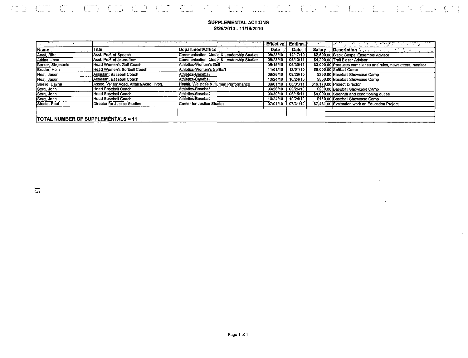# res una cha che que una cue que una cue que que que una cue que

#### **SUPPLEMENTAL ACTIONS** 8/25/2010 - 11/16/2010

|                                    |                                         |                                           | <b>Effective Ending</b> |             |               |                                                                |
|------------------------------------|-----------------------------------------|-------------------------------------------|-------------------------|-------------|---------------|----------------------------------------------------------------|
| Name.                              | <b>Title</b>                            | Department/Office                         | <b>Date</b>             | <b>Date</b> | <b>Salary</b> | Description                                                    |
| Abell, Ritta                       | Asst. Prof. of Speech                   | Communication, Media & Leadership Studies | 08/23/10                | 12/17/10    |               | \$2,500,00 Black Gospel Ensemble Advisor                       |
| Atkins, Joan                       | Asst. Prof. of Journalism               | Communication, Media & Leadership Studies | 08/23/10                | 05/13/11    |               | \$4,200,00 Trail Blazer Advisor                                |
| Barker, Stephanie                  | Head Women's Golf Coach                 | Athletics-Women's Golf                    | 08/15/10                | 06/30/11    |               | \$3,000,00 Produces compliance and rules, newsletters, monitor |
| Bruder, Holly                      | Head Women's Softball Coach             | Athletics-Women's Softball                | 11/01/10                | 12/01/10    |               | \$9,000,00 Softball Camp                                       |
| Neal, Jason                        | Assistant Baseball Coach                | Athletics-Baseball                        | 09/26/10                | 09/26/10    |               | \$250,00 Baseball Showcase Camp                                |
| Neal, Jason                        | Assistant Baseball Coach                | Athletics-Baseball                        | 10/24/10                | 10/24/10    |               | \$500,00 Baseball Showcase Camp                                |
| Seelig, Dayna                      | Assoc. VP for Acad. Affairs/Acad. Prog. | Health, Wellness & Human Performance      | 09/01/10                | 08/31/11    |               | \$16,170,00 Project Director                                   |
| Sorg, John                         | Head Baseball Coach                     | Athletics-Baseball                        | 09/26/10                | 09/26/10    |               | \$200.00 Baseball Showcase Camp                                |
| Sorg, John                         | Head Baseball Coach                     | Athletics-Baseball                        | 09/30/10                | 06/15/11    |               | \$4,000.00 Strength and conditioning duties                    |
| Sorg, John                         | Head Baseball Coach                     | Athletics-Baseball                        | 10/24/10                | 10/24/10    |               | \$150,00 Baseball Showcase Camp                                |
| Steele, Paul                       | Director for Justice Studies            | Center for Justice Studies                | 07/01/10                | 07/31/10    |               | \$7.481.00 Evaluation work on Education Project                |
|                                    |                                         |                                           |                         |             |               |                                                                |
|                                    |                                         |                                           |                         |             |               |                                                                |
| TOTAL NUMBER OF SUPPLEMENTALS = 11 |                                         |                                           |                         |             |               |                                                                |

 $\sim 10^{-1}$ 

 $\mathcal{L}^{\mathcal{L}}$  and  $\mathcal{L}^{\mathcal{L}}$ 

 $\sim 10$ 

 $\mathcal{L}$ 

 $\sim$ 

 $\ddot{\phantom{a}}$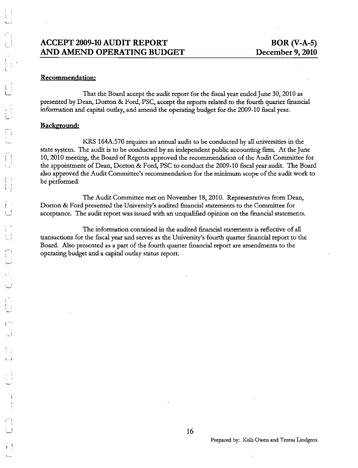# **ACCEPT 2009-10 AUDIT REPORT AND AMEND OPERATING BUDGET**

#### **Recommendation:**

That the Board accept the audit report for the fiscal year ended June 30, 2010 as presented by Dean, Dorton & Ford, PSC, accept the reports related to the fourth quarter financial information and capital outlay, and amend the operating budget for the 2009-10 fiscal year.

#### **Background:**

KRS 164A.570 requires an annual audit to be conducted by all universities in the state system. The audit is to be conducted by an independent public accounting firm. At the June 10, 2010 meeting, the Board of Regents approved the recommendation of the Audit Committee for the appointment of Dean, Dorton & Ford, PSC to conduct the 2009-10 fiscal year audit. The Board also approved the Audit Committee's recommendation for the minimum scope of the audit work to be performed.

The Audit Committee met on November 18, 2010. Representatives from Dean, Dorton & Ford presented the University's audited financial statements to the Committee for acceptance. The audit report was issued with an unqualified opinion on the financial statements.

The information contained in the audited financial statements is reflective of all transactions for the fiscal year and serves as the University's fourth quarter financial report to the Board. Also presented as a part of the fourth quarter financial report are amendments to the operating budget and a capital outlay status report.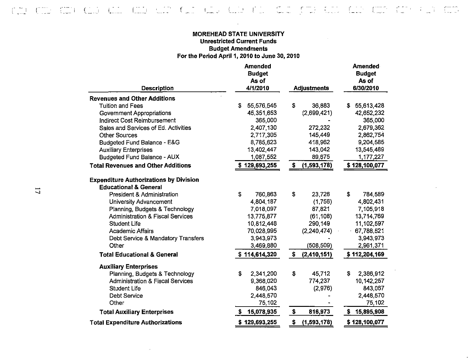,- •- <sup>I</sup> للساف المنتها السبها *r* --- r

 $\sim$ 

 $\mathcal{L}_{\mathrm{eff}}$ 

 $\mathbf{r}$ 

# **MOREHEAD STATE UNIVERSITY Unrestricted Current Funds Budget Amendments**  For the Period April 1, 2010 to June 30, 2010

| <b>Description</b>                                                                | <b>Amended</b><br><b>Budget</b><br>As of<br>4/1/2010 | <b>Adjustments</b>        | Amended<br><b>Budget</b><br>As of<br>6/30/2010 |
|-----------------------------------------------------------------------------------|------------------------------------------------------|---------------------------|------------------------------------------------|
| <b>Revenues and Other Additions</b>                                               |                                                      |                           |                                                |
| <b>Tuition and Fees</b>                                                           | \$<br>55,576,545                                     | \$<br>36,883              | 55,613,428<br>\$                               |
| Government Appropriations                                                         | 45,351,653                                           | (2,699,421)               | 42,652,232                                     |
| Indirect Cost Reimbursement                                                       | 365,000                                              |                           | 365,000                                        |
| Sales and Services of Ed. Activities                                              | 2,407,130                                            | 272,232                   | 2,679,362                                      |
| <b>Other Sources</b>                                                              | 2,717,305                                            | 145,449                   | 2,862,754                                      |
| Budgeted Fund Balance - E&G                                                       | 8,785,623                                            | 418,962                   | 9,204,585                                      |
| <b>Auxiliary Enterprises</b>                                                      | 13,402,447                                           | 143,042                   | 13,545,489                                     |
| <b>Budgeted Fund Balance - AUX</b>                                                | 1,087,552                                            | 89.675                    | 1.177,227                                      |
| <b>Total Revenues and Other Additions</b>                                         | \$129,693,255                                        | S<br>(1,593,178)          | \$128,100,077                                  |
| <b>Expenditure Authorizations by Division</b><br><b>Educational &amp; General</b> |                                                      |                           |                                                |
| President & Administration                                                        | \$<br>760,863                                        | \$<br>23,726              | \$<br>784,589                                  |
| <b>University Advancement</b>                                                     | 4,804,187                                            | (1,756)                   | 4802,431                                       |
| Planning, Budgets & Technology                                                    | 7,018,097                                            | 87,821                    | 7,105,918                                      |
| <b>Administration &amp; Fiscal Services</b>                                       | 13,775,877                                           | (61, 108)                 | 13,714,769                                     |
| <b>Student Life</b>                                                               | 10,812,448                                           | 290,149                   | 11,102,597                                     |
| <b>Academic Affairs</b>                                                           | 70,028,995                                           | (2, 240, 474)             | 67,788,521                                     |
| Debt Service & Mandatory Transfers                                                | 3,943,973                                            |                           | 3,943,973                                      |
| Other                                                                             | 3,469,880                                            | (508, 509)                | 2,961,371                                      |
| <b>Total Educational &amp; General</b>                                            | \$114,614,320                                        | $\sqrt{2}$<br>(2,410,151) | \$112,204,169                                  |
| <b>Auxiliary Enterprises</b>                                                      |                                                      |                           |                                                |
| Planning, Budgets & Technology                                                    | \$<br>2,341,200                                      | 45,712<br>\$              | 2,386,912<br>\$                                |
| <b>Administration &amp; Fiscal Services</b>                                       | 9,368,020                                            | 774,237                   | 10,142,257                                     |
| <b>Student Life</b>                                                               | 846,043                                              | (2,976)                   | 843,067                                        |
| <b>Debt Service</b>                                                               | 2,448,570                                            |                           | 2,448,570                                      |
| Other                                                                             | 75,102                                               |                           | 75,102                                         |
| <b>Total Auxiliary Enterprises</b>                                                | 15,078,935                                           | \$<br>816,973             | \$<br>15,895,908                               |
| <b>Total Expenditure Authorizations</b>                                           | \$129,693,255                                        | \$<br>(1,593,178)         | \$128,100,077                                  |

 $\sim$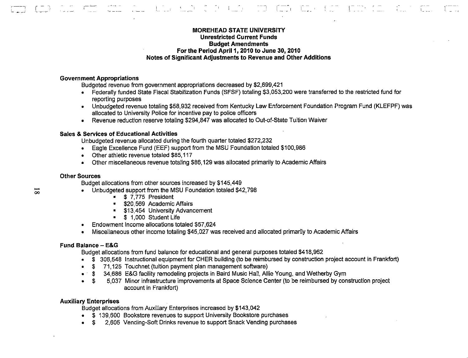#### **MOREHEAD STATE UNIVERSITY Unrestricted Current Funds Budget Amendments For the Period April1, 2010 to June 30, 2010 Notes of Significant Adjustments to Revenue and Other Additions**

 $\mathcal{L}(\mathcal{A})=\{1,2,3,4,5\}$ 

#### **Government Appropriations**

Budgeted revenue from government appropriations decreased by \$2,699,421

 $\label{eq:3.1} \mathcal{A} = \mathcal{A} \mathcal{A} = \mathcal{A} \mathcal{A}$ 

 $\frac{1}{2}$ 

- Federally funded State Fiscal Stabilization Funds (SFSF) totaling \$3,053,200 were transferred to the restricted fund for reporting purposes
- Unbudgeted revenue totaling \$58,932 received from Kentucky Law Enforcement Foundation Program Fund (KLEFPF) was allocated to University Police for incentive pay to police officers
- Revenue reduction reserve totaling \$294,847 was allocated to Out-of-State Tuition Waiver

#### **Sales & Services of Educational Activities**

Unbudgeted revenue allocated during the fourth quarter totaled \$272,232

- Eagle Excellence Fund (EEF) support from the MSU Foundation totaled \$100,986
- Other athletic revenue totaled \$85,117
- Other miscellaneous revenue totaling \$86,129 was allocated primarily to Academic Affairs

#### **Other Sources**

Budget allocations from other sources increased by \$145,449

- Unbudgeted support from the MSU Foundation totaled \$42,798
	- \$ 7,775 President
	- \$20,569 Academic Affairs
	- \$13,454 University Advancement
	- \$ 1,000 Student Life
	- Endowment Income allocations totaled \$57,624
	- Miscellaneous other income totaling \$45,027 was received and allocated primarily to Academic Affairs

# **Fund Balance- E&G**

Budget allocations from fund balance for educational and general purposes totaled \$418,962

- \$ 306,548 Instructional equipment for CHER building (to be reimbursed by construction project account in Frankfort)
- \$ 71,125 Touchnet (tuition payment plan management software)
- \$ 34,686 E&G facility remodeling projects in Baird Music Hall, Allie Young, and Wetherby Gym
- \$ 5,037 Minor infrastructure improvements at Space Science Center (to be reimbursed by construction project account in Frankfort)

#### **Auxiliary Enterprises**

Budget allocations from Auxiliary Enterprises increased by \$143,042

- \$ 139,600 Bookstore revenues to support University Bookstore purchases
- \$ 2,605 Vending-Soft Drinks revenue to support Snack Vending purchases

 $\overline{8}$ 

 $r^+$ 1  $r^+$ المصيلات المرضاط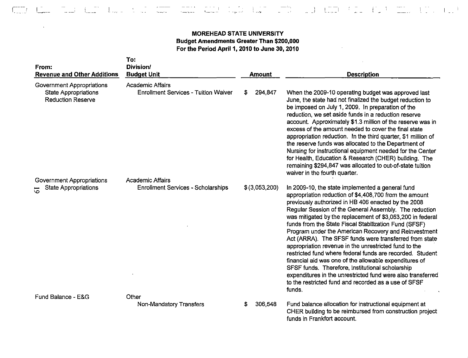# **MOREHEAD STATE UNIVERSITY Budget Amendments Greater Than \$200,000 For the Period April 1, 2010 to June 30, 2010**

 $\mathcal{L}^{\mathcal{L}}(\mathcal{A})$  .

c--\_, ~·~-- i ' -,.- --' ' \_\_ .,.\_ 1 *-!* 

 $\mathcal{L}^{\text{max}}_{\text{max}}$  .

| From:<br><b>Revenue and Other Additions</b>                                          | To:<br>Division/<br><b>Budget Unit</b>                                 |    | <b>Amount</b>  | <b>Description</b>                                                                                                                                                                                                                                                                                                                                                                                                                                                                                                                                                                                                                                                                                                                                                                                                                        |  |
|--------------------------------------------------------------------------------------|------------------------------------------------------------------------|----|----------------|-------------------------------------------------------------------------------------------------------------------------------------------------------------------------------------------------------------------------------------------------------------------------------------------------------------------------------------------------------------------------------------------------------------------------------------------------------------------------------------------------------------------------------------------------------------------------------------------------------------------------------------------------------------------------------------------------------------------------------------------------------------------------------------------------------------------------------------------|--|
| Government Appropriations<br><b>State Appropriations</b><br><b>Reduction Reserve</b> | <b>Academic Affairs</b><br><b>Enrollment Services - Tuition Waiver</b> |    | 294,847        | When the 2009-10 operating budget was approved last<br>June, the state had not finalized the budget reduction to<br>be imposed on July 1, 2009. In preparation of the<br>reduction, we set aside funds in a reduction reserve<br>account. Approximately \$1.3 million of the reserve was in<br>excess of the amount needed to cover the final state<br>appropriation reduction. In the third quarter, \$1 million of<br>the reserve funds was allocated to the Department of<br>Nursing for instructional equipment needed for the Center<br>for Health, Education & Research (CHER) building. The<br>remaining \$294,847 was allocated to out-of-state tuition<br>waiver in the fourth quarter.                                                                                                                                          |  |
| Government Appropriations                                                            | <b>Academic Affairs</b>                                                |    |                |                                                                                                                                                                                                                                                                                                                                                                                                                                                                                                                                                                                                                                                                                                                                                                                                                                           |  |
| <b>State Appropriations</b><br>$\overline{5}$<br>Fund Balance - E&G                  | <b>Enrollment Services - Scholarships</b><br>Other                     |    | \$ (3,053,200) | In 2009-10, the state implemented a general fund<br>appropriation reduction of \$4,408,700 from the amount<br>previously authorized in HB 406 enacted by the 2008<br>Regular Session of the General Assembly. The reduction<br>was mitigated by the replacement of \$3,053,200 in federal<br>funds from the State Fiscal Stabilization Fund (SFSF)<br>Program under the American Recovery and Reinvestment<br>Act (ARRA). The SFSF funds were transferred from state<br>appropriation revenue in the unrestricted fund to the<br>restricted fund where federal funds are recorded. Student<br>financial aid was one of the allowable expenditures of<br>SFSF funds. Therefore, institutional scholarship<br>expenditures in the unrestricted fund were also transferred<br>to the restricted fund and recorded as a use of SFSF<br>funds. |  |
|                                                                                      | Non-Mandatory Transfers                                                | S. | 306 548        | Fund balance allocation for instructional equipment at                                                                                                                                                                                                                                                                                                                                                                                                                                                                                                                                                                                                                                                                                                                                                                                    |  |
|                                                                                      |                                                                        |    |                | CHER building to be reimbursed from construction project<br>funds in Frankfort account.                                                                                                                                                                                                                                                                                                                                                                                                                                                                                                                                                                                                                                                                                                                                                   |  |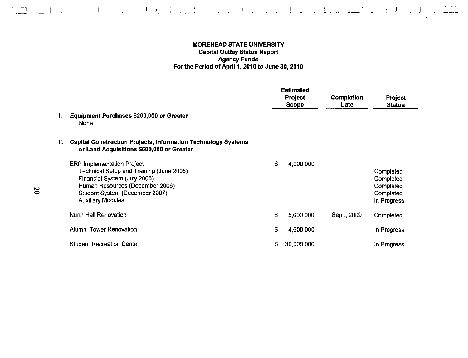# **MOREHEAD STATE UNIVERSITY Capital Outlay Status Report** Agency Funds<br>For the Period of April 1, 2010 to June 30, 2010

 $\bar{\phantom{a}}$ 

The Council Chinese and Council the Council Chinese

 $\sim 40^{\circ}$ 

 $\int$ 

 $\sim$ 

|    |                                                                                                                                                                                                                |    | <b>Estimated</b><br>Project<br><b>Scope</b> | <b>Completion</b><br>Date | <b>Project</b><br><b>Status</b>                                 |
|----|----------------------------------------------------------------------------------------------------------------------------------------------------------------------------------------------------------------|----|---------------------------------------------|---------------------------|-----------------------------------------------------------------|
| L. | <b>Equipment Purchases \$200,000 or Greater</b><br><b>None</b>                                                                                                                                                 |    |                                             |                           |                                                                 |
| н. | <b>Capital Construction Projects, Information Technology Systems</b><br>or Land Acquisitions \$600,000 or Greater                                                                                              |    |                                             |                           |                                                                 |
|    | <b>ERP Implementation Project</b><br>Technical Setup and Training (June 2005)<br>Financial System (July 2006)<br>Human Resources (December 2006)<br>Student System (December 2007)<br><b>Auxiliary Modules</b> | \$ | 4,000,000                                   |                           | Completed<br>Completed<br>Completed<br>Completed<br>In Progress |
|    | Nunn Hall Renovation                                                                                                                                                                                           | S  | 5,000,000                                   | Sept., 2009               | Completed                                                       |
|    | Alumni Tower Renovation                                                                                                                                                                                        | \$ | 4,600,000                                   |                           | In Progress                                                     |
|    | <b>Student Recreation Center</b>                                                                                                                                                                               | S. | 30,000,000                                  |                           | In Progress                                                     |

 $\sim$ 

 $\int_{0}^{\infty}$  $\overline{\phantom{a}}_i$ 

 $\mathcal{A}^{\mathcal{A}}$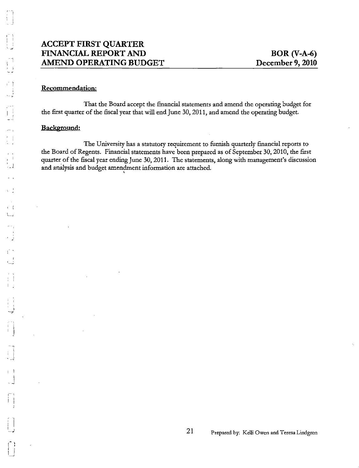# **ACCEPT FIRST QUARTER FINANCIAL REPORT AND AMEND OPERATING BUDGET**

# **Recommendation:**

That the Board accept the financial statements and amend the operating budget for the first quarter of the fiscal year that will end June 30, 2011, and amend the operating budget.

#### **Background:**

The University has a statutory requirement to furnish quarterly financial reports to the Board of Regents. Financial statements have been prepared as of September 30, 2010, the first quarter of the fiscal year ending June 30, 2011. The statements, along with management's discussion and analysis and budget amendment information are attached. '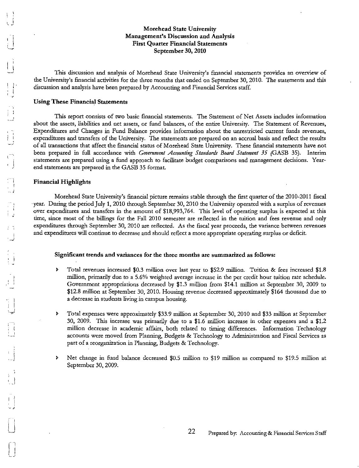# Morehead State University Management's Discussion and Analysis First Quarter Financial Statements September 30, 2010

1bis discussion and analysis of Morehead State University's fmancial statements provides an overview of the University's financial activities for the three months that ended on September 30, 2010. The statements and this discussion and analysis have been prepared by Accounting and Financial Services staff.

#### Using These Financial Statements

1bis report consists of two basic financial statements. The Statement of Net Assets includes information about the assets, liabilities and net assets, or fund balances, of the entire University. The Statement of Revenues, Expenditures and Changes in Fund Balance provides information about the unrestricted current funds revenues, expenditures and transfers of the University. The statements are prepared on an accrual basis and reflect the results of all transactions that affect the financial status of Morehead State University. These financial statements have not been prepared in full accordance with *Government Accounting Standards Board Statement 35 (GASB* 35). Interim statements are prepared using a fund approach to facilitate budget comparisons and management decisions. Yearend statements are prepared in the GASB 35 format.

#### Financial Highlights

Morehead State University's financial picture remains stable through the first quarter of the 2010-2011 fiscal ·year. Doring the period July 1, 2010 through September 30, 2010 the University operated with a surplus of revenues over expenditures and transfers in the amount of \$18,993,764. 1bis level of operating surplus is expected at this time, since most of the billings for the Fall 2010 semester are reflected in the tuition and fees revenue and only expenditures through September 30, 2010 are reflected. As the fiscal year proceeds, the variance between revenues and expenditures will continue to decrease and should reflect a more appropriate operating surplus or deficit.

#### Significant trends and variances for the three months are summarized as follows:

- > Total revenues increased \$0.3 million over last year to \$52.9 million. Tuition & fees increased \$1.8 million, primarily due to a 5.6% weighted average increase in the per credit hour tuition rate schedule. Government appropriations decreased by \$1.3 million from \$14.1 million at September 30, 2009 to \$12.8 million at September 30, 2010. Housing revenue decreased approximately \$164 thousand due to **a decrease in students living in campus housing.**
- > Total expenses were approximately \$33.9 million at September 30, 2010 and \$33 million at September 30, 2009. 1bis increase was primarily due to a \$1.6 million increase in other expenses and a \$1.2 million decrease in academic affairs, both related to timing differences. Information Technology accounts were moved from Planning, Budgets & Technology to Administration and Fiscal Services as part of a reorganization in Planning, Budgets & Technology.
- > Net change in fund balance decreased \$0.5 million to \$19 million as compared to \$19.5 million at September 30, 2009.

' I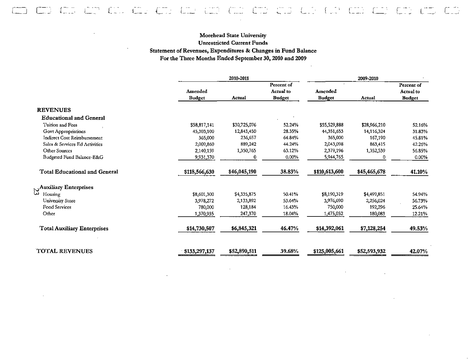# Morehead State University Unrestricted Current Funds Statement of Revenues, Expenditures & Changes in Fund Balance For the Three Months Ended September 30, 2010 and 2009

 $\binom{m}{n}$ 

 $\mathbf{r}$ 

 $\mathcal{L}$ 

 $\sqrt{1-\frac{1}{2}}$ 

 $\mathbb{C}^{\pm}$ 

 $C =$ 

 $\bar{z}$ 

 $\overline{C}$ 

 $C_{11}$ ,  $C_{12}$ ,  $C_{13}$ ,  $C_{12}$ ,  $C_{13}$ ,  $C_{12}$ ,  $C_{13}$ ,  $C_{14}$ ,  $C_{15}$ 

[=:J c ( -·- -

 $\mathcal{L}_{\mathcal{A}}$ 

 $\cdot$ 

 $\bar{a}$ 

 $\blacksquare$ 

|                                      | 2010-2011     |              |               | 2009-2010     |              |               |
|--------------------------------------|---------------|--------------|---------------|---------------|--------------|---------------|
|                                      |               |              | Percent of    |               |              | Percent of    |
|                                      | Amended       |              | Actual to     | Amended       |              | Actual to     |
|                                      | <b>Budget</b> | Actual       | <b>Budget</b> | <b>Budget</b> | Actual       | <b>Budget</b> |
| <b>REVENUES</b>                      |               |              |               |               |              |               |
| <b>Educational and General</b>       |               |              |               |               |              |               |
| Tuition and Fees                     | \$58,817,141  | \$30,725,076 | 52.24%        | \$55,529,888  | \$28,966,210 | 52.16%        |
| Govt Appropriations                  | 45,303,100    | 12,843,450   | 28.35%        | 44,351,653    | 14,116,324   | 31.83%        |
| Indirect Cost Reimbursement          | 365,000       | 236,657      | 64.84%        | 365,000       | 167,190      | 45.81%        |
| Sales & Services Ed Activities       | 2,009,860     | 889,242      | 44.24%        | 2,043,098     | 863,415      | 42.26%        |
| Other Sources                        | 2,140,159     | 1,350,765    | 63.12%        | 2,379,196     | 1,352,539    | 56.85%        |
| Budgeted Fund Balance-E&G            | 9,931,370     | 0            | 0.00%         | 5,944,765     | 0            | 0.00%         |
| <b>Total Educational and General</b> | \$118,566,630 | \$46,045,190 | 38.83%        | \$110,613,600 | \$45,465,678 | 41.10%        |
| Nauxiliary Enterprises               |               |              |               |               |              |               |
| نتا<br>Housing                       | \$8,601,300   | \$4,335,875  | 50.41%        | \$8,190,319   | \$4,499,851  | 54.94%        |
| University Store                     | 3,978,272     | 2,133,892    | 53.64%        | 3,976,690     | 2,256,024    | 56.73%        |
| <b>Food Services</b>                 | 780,000       | 128,184      | 16.43%        | 750,000       | 192,296      | 25.64%        |
| Other                                | 1,370,935     | 247,370      | 18.04%        | 1,475,052     | 180,083      | 12.21%        |
| <b>Total Auxiliary Enterprises</b>   | \$14,730,507  | \$6,845,321  | 46.47%        | \$14,392,061  | \$7,128,254  | 49.53%        |
| <b>TOTAL REVENUES</b>                | \$133,297,137 | \$52,890,511 | 39.68%        | \$125,005,661 | \$52,593,932 | 42.07%        |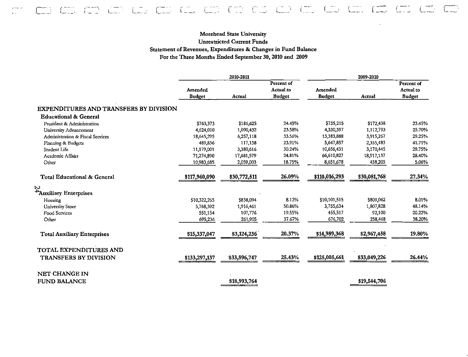# **Morehead State University Unrestricted Current Funds Statement of Revenues, Expenditures & Changes in Fund Balance**  For the Three Months Ended September 30, 2010 and 2009

~---· -(\_- L \_\_ ,- <sup>l</sup>[ \_\_\_ , r \_\_ :-\_ ,-- l \_\_ \_

 $\mathcal{L}$ 

 $\left(\begin{array}{ccc} - & & - \end{array}\right)$ 

i e mei m

|                                               | 2010-2011     |              |               | 2009-2010     |              |               |
|-----------------------------------------------|---------------|--------------|---------------|---------------|--------------|---------------|
|                                               |               |              | Percent of    |               |              | Percent of    |
|                                               | Amended       |              | Actual to     | Amended       |              | Actual to     |
|                                               | <b>Budget</b> | Actual       | <b>Budget</b> | <b>Budget</b> | Actual       | <b>Budget</b> |
| <b>EXPENDITURES AND TRANSFERS BY DIVISION</b> |               |              |               |               |              |               |
| <b>Educational &amp; General</b>              |               |              |               |               |              |               |
| President & Administration                    | \$763,373     | \$186,625    | 24.45%        | \$735,215     | \$172,438    | 23.45%        |
| University Advancement                        | 4,624,010     | 1,090,432    | 23.58%        | 4,330,397     | 1,112,793    | 25.70%        |
| Administration & Fiscal Services              | 18,645,295    | 6,257,118    | 33.56%        | 13,383,888    | 3,915,267    | 29.25%        |
| Planning & Budgets                            | 489,836       | 117,138      | 23.91%        | 5,647,857     | 2,355,483    | 41.71%        |
| Student Life                                  | 11,179,001    | 3,380,616    | 30.24%        | 10,656,431    | 3,170,445    | 29.75%        |
| Academic Affairs                              | 71,274,890    | 17,681,579   | 24.81%        | 66,610,827    | 18,917,137   | 28.40%        |
| Other                                         | 10,983,685    | 2,059,003    | 18.75%        | 8,651,678     | 438,205      | 5.06%         |
| <b>Total Educational &amp; General</b>        | \$117,960,090 | \$30,772,511 | 26.09%        | \$110,016,293 | \$30,081,768 | 27.34%        |
| N                                             |               |              |               |               |              |               |
| Auxiliary Enterprises                         |               |              |               |               |              |               |
| Housing                                       | \$10,322,265  | \$838,094    | 8.12%         | \$10,101,515  | \$809,062    | 8.01%         |
| <b>University Store</b>                       | 3,768,392     | 1,916,461    | 50.86%        | 3,755,634     | 1,807,828    | 48.14%        |
| <b>Food Services</b>                          | 551,154       | 107,776      | 19.55%        | 455,517       | 92,100       | 20.22%        |
| Other                                         | 695,236       | 261,905      | 37.67%        | 676,702       | 258,468      | 38.20%        |
| <b>Total Auxiliary Enterprises</b>            | \$15,337,047  | \$3,124,236  | 20.37%        | \$14,989,368  | \$2,967,458  | 19.80%        |
| TOTAL EXPENDITURES AND                        |               |              |               |               |              |               |
|                                               |               |              |               |               |              | 26.44%        |
| <b>TRANSFERS BY DIVISION</b>                  | \$133,297,137 | \$33,896,747 | 25.43%        | \$125,005,661 | \$33,049,226 |               |
| <b>NET CHANGE IN</b>                          |               |              |               |               |              |               |
| <b>FUND BALANCE</b>                           |               | \$18,993,764 |               |               | \$19,544,706 |               |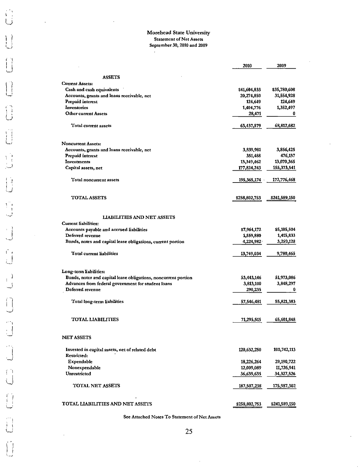#### Morehead State University Statement of Net Assets September 30, 2010 and 2009

 $\sim$ 

 $\bigcup$ 

 $\mathcal{Y}$ 

 $\begin{bmatrix} 1 \\ 1 \end{bmatrix}$ l\_,)

 $\cup$  .

 $\frac{1}{1}$  i LJ

*\_, \_\_* }

À,

I I I ·'. ~\_j

 $\mathbf{I}_{\mathbf{r}}$ I

> I  $\bigcup$

 $\mathbf{I}$ 

Ť,

 $\mathbf{f}$ 

'I I *'\_\_)* 

J

 $\left( \begin{array}{c} 1 \end{array} \right)$ ł.

 $\begin{matrix} \n\end{matrix}$ 

|                                                                | 2010          | 2009          |
|----------------------------------------------------------------|---------------|---------------|
| <b>ASSETS</b>                                                  |               |               |
| <b>Current Assets:</b>                                         |               |               |
| Cash and cash equivalents                                      | \$41,604,833  | \$35,780,608  |
| Accounts, grants and loans receivable, net                     | 20,274,850    | 31,554,928    |
| Prepaid interest                                               | 124,649       | 124,649       |
| Inventories                                                    | 1,404,776     | 1,352,497     |
| <b>Other current Assets</b>                                    | 28,471        | $\bf{0}$      |
| Total current assets                                           | 63,437,579    | 68,812,682    |
| <b>Noncurrent Assets:</b>                                      |               |               |
| Accounts, grants and loans receivable, net                     | 3,839,981     | 3,856,425     |
| Prepaid interest                                               | 351,488       | 476,137       |
| Investments                                                    | 13,349,462    | 13,070,365    |
| Capital assets, net                                            | 177,824,243   | 155,373,541   |
| Total noncurrent assets                                        |               |               |
|                                                                | 195,365,174   | 172,776,468   |
| <b>TOTAL ASSETS</b>                                            | \$258,802,753 | \$241,589,150 |
| <b>LIABILITIES AND NET ASSETS</b>                              |               |               |
| <b>Current liabilities:</b>                                    |               |               |
| Accounts payable and accrued liabilities                       | \$7,964,172   | \$5,105,504   |
| Deferred revenue                                               | 1,559,880     | 1,415,833     |
| Bonds, notes and capital lease obligations, current portion    | 4,224,982     | 3,259,128     |
| Total current liabilities                                      | 13,749,034    | 9,780,465     |
| Long-term liabilities:                                         |               |               |
| Bonds, notes and capital lease obligations, noncurrent portion | 53,443,146    | 51,973,086    |
| Advances from federal government for student loans             | 3,813,100     | 3,848,297     |
| Deferred revenue                                               | 290,235       | 0             |
| Total long-term liabilities                                    | 57,546,481    | 55,821,383    |
| <b>TOTAL LIABILITIES</b>                                       | 71,295,515    | 65,601,848    |
| <b>NET ASSETS</b>                                              |               |               |
| Invested in capital assets, net of related debt                | 120,632,250   | 100,742,113   |
| Restricted:                                                    |               |               |
| Expendable                                                     | 18,226,264    | 29,190,722    |
| Nonexpendable                                                  | 12,009,089    | 11,726,941    |
| Unrestricted                                                   | 36,639,635    | 34,327,526    |
| <b>TOTAL NET ASSETS</b>                                        | 187,507,238   | 175,987,302   |
| <b>TOTAL LIABILITIES AND NET ASSETS</b>                        | \$258,802,753 | \$241,589,150 |
|                                                                |               |               |

See Attached Notes To Statement of Net Assets

 $\epsilon$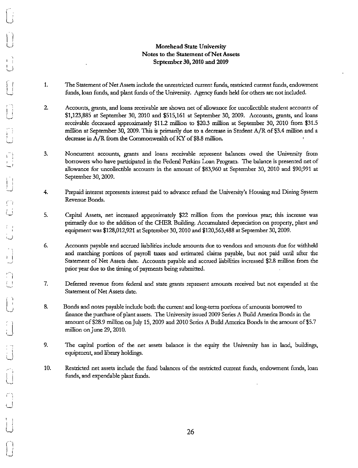# **Morehead State University**  *Notes to* **the Statement of** *Net* **Assets September 30, 2010 and 2009**

- 1. The Statement of Net Assets include the unrestricted current funds, restricted current funds, endowment funds, loan funds, and plant funds of the University. Agency funds held for others are not included.
- 2. **Accounts, grants, and loans receivable are shown net of allowance for uncollectible student accounts of**  \$1,123,885 at September 30, 2010 and \$515,161 at September 30, 2009. Accounts, grants, and loans receivable decreased approximately \$11.2 million to \$20.3 million at September 30, 2010 from \$31.5 million at September 30, 2009. This is primarily due to a decrease in Student A/R of \$3.4 million and a decrease in A/R from the Commonwealth of KY of \$8.8 million.
- 3. Noncurrent accounts, grants and loans receivable represent balances owed the University from borrowers who have participated in the Federal Perkins Loan Program. The balance is presented net of allowance for uncollectible accounts in the amount of \$83,960 at September 30, 2010 and \$90,991 at September 30, 2009.
- 4. Prepaid interest represents interest paid to advance refund the University's Housing and Dining System Revenue Bonds.
- 5. Capital Assets, net increased approximately \$22 million from the previous year; this increase was primarily due to the addition of the CHER Building. Accumulated depreciation on property, plant and equipment was \$128,012,921 at September 30, 2010 and \$120,563,488 at September 30, 2009.
- 6. Accounts payable and accrued liabilities include amounts due to vendors and amounts due for withheld and matching portions of payroll taxes and estimated claims payable, but not paid until after the Statement of Net Assets date. Accounts payable and accrued liabilities increased \$2.8 million from the prior year due to the timing of payments being submitted.
- 7. Deferred revenue from federal and state grants represent amounts received but not expended at the Statement of Net Assets date.
- 8. Bonds and notes payable include both the current and long-term portions of amounts borrowed to finance the purchase of plant assets. The University issued 2009 Series A Build America Bonds in the amount of\$28.9 million on July 15, 2009 and 2010 Series A Build America Bonds in the amount of\$5.7 million on June 29,2010.
- 9. The capital portion of the net assets balance is the equity the University has in land, buildings, equipment, and library holdings.
- 10. Restricted net assets include the fund balances of the restricted current funds, endowment funds, loan funds, and expendable plant funds.

\_J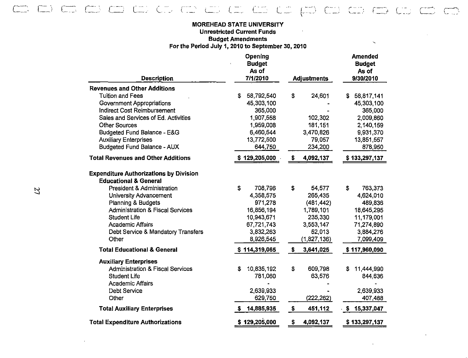# **MOREHEAD STATE UNIVERSITY Unrestricted Current Funds Budget Amendments For the Period July 1, 2010 to September 30, 2010**

 $\sim$ 

 $\mathbf{r}$ 

 $\ddot{\phantom{a}}$ 

 $r \in \mathbb{C}$  and  $r \in \mathbb{C}$  ,  $r \in \mathbb{C}$  is the  $r \in \mathbb{C}$  th  $r \in \mathbb{C}$ 

| <b>Description</b>                                                                | Opening<br><b>Budget</b><br>As of<br>7/1/2010 | <b>Adjustments</b>            | <b>Amended</b><br><b>Budget</b><br>As of<br>9/30/2010 |
|-----------------------------------------------------------------------------------|-----------------------------------------------|-------------------------------|-------------------------------------------------------|
| <b>Revenues and Other Additions</b>                                               |                                               |                               |                                                       |
| <b>Tuition and Fees</b>                                                           | \$<br>58,792,540                              | $\mathsf{s}$<br>24,601        | 58,817,141<br>\$                                      |
| <b>Government Appropriations</b>                                                  | 45,303,100                                    |                               | 45,303,100                                            |
| <b>Indirect Cost Reimbursement</b>                                                | 365,000                                       |                               | 365,000                                               |
| Sales and Services of Ed. Activities                                              | 1,907,558                                     | 102,302                       | 2,009,860                                             |
| <b>Other Sources</b>                                                              | 1,959,008                                     | 181,151                       | 2,140,159                                             |
| <b>Budgeted Fund Balance - E&amp;G</b>                                            | 6,460,544                                     | 3,470,826                     | 9,931,370                                             |
| <b>Auxiliary Enterprises</b>                                                      | 13,772,500                                    | 79,057                        | 13,851,557                                            |
| <b>Budgeted Fund Balance - AUX</b>                                                | 644,750                                       | 234,200                       | 878,950                                               |
| <b>Total Revenues and Other Additions</b>                                         | \$129,205,000                                 | $\boldsymbol{s}$<br>4,092,137 | \$133,297,137                                         |
| <b>Expenditure Authorizations by Division</b><br><b>Educational &amp; General</b> |                                               |                               |                                                       |
| President & Administration                                                        | $\mathbf S$<br>708,796                        | $\mathbf s$<br>54,577         | \$<br>763,373                                         |
| University Advancement                                                            | 4,358,575                                     | 265,435                       | 4,624,010                                             |
| Planning & Budgets                                                                | 971,278                                       | (481, 442)                    | 489,836                                               |
| <b>Administration &amp; Fiscal Services</b>                                       | 16,856,194                                    | 1,789,101                     | 18,645,295                                            |
| <b>Student Life</b>                                                               | 10,943,671                                    | 235,330                       | 11,179,001                                            |
| <b>Academic Affairs</b>                                                           | 67,721,743                                    | 3,553,147                     | 71,274,890                                            |
| Debt Service & Mandatory Transfers                                                | 3,832,263                                     | 52,013                        | 3,884,276                                             |
| Other                                                                             | 8,926,545                                     | (1,827,136)                   | 7,099,409                                             |
| <b>Total Educational &amp; General</b>                                            | \$114,319,065                                 | $\boldsymbol{s}$<br>3,641,025 | \$117,960,090                                         |
| <b>Auxiliary Enterprises</b>                                                      |                                               |                               |                                                       |
| <b>Administration &amp; Fiscal Services</b>                                       | S<br>10,835,192                               | S<br>609,798                  | 11,444,990<br>£                                       |
| <b>Student Life</b>                                                               | 781,060                                       | 63,576                        | 844,636                                               |
| <b>Academic Affairs</b>                                                           |                                               |                               |                                                       |
| <b>Debt Service</b>                                                               | 2,639,933                                     |                               | 2,639,933                                             |
| Other                                                                             | 629,750                                       | (222, 262)                    | 407,488                                               |
| <b>Total Auxiliary Enterprises</b>                                                | 14,885,935<br>S.                              | $\mathbf{\hat{S}}$<br>451,112 | 15,337,047<br>- \$                                    |
| <b>Total Expenditure Authorizations</b>                                           | \$129,205,000                                 | \$<br>4,092,137               | \$133,297,137                                         |

 $\sim$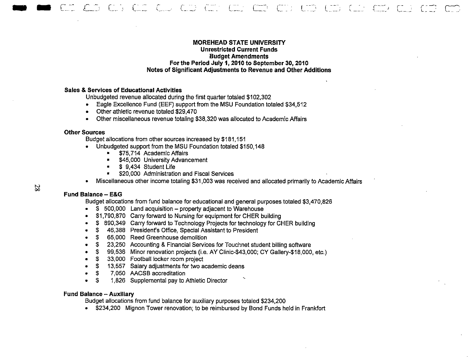#### **MOREHEAD STATE UNIVERSITY Unrestricted Current Funds Budget Amendments For the Period July 1, 2010 to September 30, 2010 Notes of Significant Adjustments to Revenue and Other Additions**

L.

-

l~-

)<br>) ( ا - ' ' ---

 $r^{\perp}$ r $r^{\perp}$  r $r^{\perp}$ 

 $\mathbb{C}$   $\mathbb{C}$   $\mathbb{C}$   $\mathbb{C}$   $\mathbb{C}$ '~ -~-' <sup>L</sup>- --

#### **Sales & Services of Educational Activities**

Unbudgeted revenue allocated during the first quarter totaled \$102,302

• Eagle Excellence Fund (EEF) support from the MSU Foundation totaled \$34,512

 $\omega$   $\omega$   $\infty$   $\infty$   $\infty$   $\infty$   $\infty$ 

- Other athletic revenue totaled \$29,470
- Other miscellaneous revenue totaling \$38,320 was allocated to Academic Affairs

#### **Other Sources**

Budget allocations from other sources increased by \$181,151

- Unbudgeted support from the MSU Foundation totaled \$150,148
	- \$75,714 Academic Affairs
	- \$45,000 University Advancement
	- \$ 9,434 Student Life
	- \$20,000 Administration and Fiscal Services
- Miscellaneous other income totaling \$31,003 was received and allocated primarily to Academic Affairs

#### **Fund Balance- E&G**

Budget allocations from fund balance for educational and general purposes totaled \$3,470,826

- \$ 500,000 Land acquisition- property adjacent to Warehouse
- \$1,790,870 Carry forward to Nursing for equipment for CHER building
- \$ 890,349 Carry forward to Technology Projects for technology for CHER building
- \$ 46,388 President's Office, Special Assistant to President
- \$ 65,000 Reed Greenhouse demolition
- \$ 23,250 Accounting & Financial Services for Touchnet student billing software
- \$ 99,536 Minor renovation projects (i.e. AY Clinic-\$43,000; CY Gallery-\$18,000, etc.)
- \$ 33,000 Football locker room project
- \$ 13,557 Salary adjustments for two academic deans
- \$ 7,050 AACSB accreditation
- \$ 1,826 Supplemental pay to Athletic Director

#### **Fund Balance - Auxiliary**

Budget allocations from fund balance for auxiliary purposes totaled \$234,200

• \$234,200 Mignon Tower renovation; to be reimbursed by Bond Funds held in Frankfort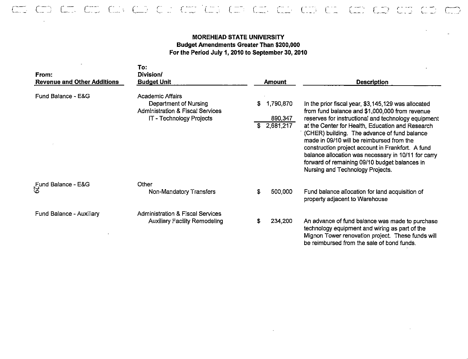,-- ~-- - c-= c\_\_-:-:- *c--* c L:: r· r --- - ( -- c:= --- - [ - - - [ - <sup>r</sup>c=-:' *<sup>r</sup>*\_\_\_ , r - L\_ : L \_\_ : l-- : '---- ' - ~- -- -- <sup>~</sup>- -- - '--- - - L\_ -- c u~

 $\sim$ 

# **MOREHEAD STATE UNIVERSITY Budget Amendments Greater Than \$200,000 For the Period July 1, 2010 to September 30, 2010**

 $\mathcal{L}$ 

 $\Delta \phi$ 

 $\mathbb{Z}^2$ 

| From:<br><b>Revenue and Other Additions</b> | To:<br>Division/<br><b>Budget Unit</b>                                                                               | <b>Amount</b>                                         | <b>Description</b>                                                                                                                                                                                                                                                                                                                                                                                                                                                                                             |
|---------------------------------------------|----------------------------------------------------------------------------------------------------------------------|-------------------------------------------------------|----------------------------------------------------------------------------------------------------------------------------------------------------------------------------------------------------------------------------------------------------------------------------------------------------------------------------------------------------------------------------------------------------------------------------------------------------------------------------------------------------------------|
| Fund Balance - E&G                          | Academic Affairs<br>Department of Nursing<br><b>Administration &amp; Fiscal Services</b><br>IT - Technology Projects | $\mathfrak{F}$<br>1,790,870<br>890,347<br>\$2,681,217 | In the prior fiscal year, \$3,145,129 was allocated<br>from fund balance and \$1,000,000 from revenue<br>reserves for instructional and technology equipment<br>at the Center for Health, Education and Research<br>(CHER) building. The advance of fund balance<br>made in 09/10 will be reimbursed from the<br>construction project account in Frankfort. A fund<br>balance allocation was necessary in 10/11 for carry<br>forward of remaining 09/10 budget balances in<br>Nursing and Technology Projects. |
| Fund Balance - E&G                          | Other<br>Non-Mandatory Transfers                                                                                     | S.<br>500,000                                         | Fund balance allocation for land acquisition of<br>property adjacent to Warehouse                                                                                                                                                                                                                                                                                                                                                                                                                              |
| Fund Balance - Auxiliary                    | <b>Administration &amp; Fiscal Services</b><br><b>Auxiliary Facility Remodeling</b>                                  | 234,200<br>S                                          | An advance of fund balance was made to purchase<br>technology equipment and wiring as part of the<br>Mignon Tower renovation project. These funds will<br>be reimbursed from the sale of bond funds.                                                                                                                                                                                                                                                                                                           |

 $\mathcal{L}^{\mathcal{L}}$  , where  $\mathcal{L}^{\mathcal{L}}$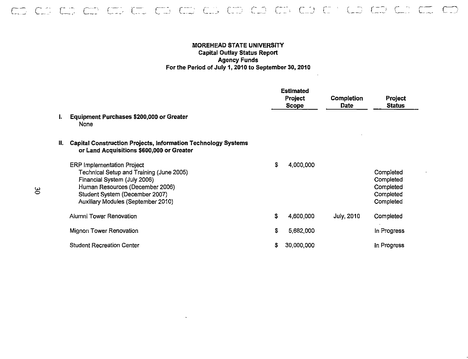

# **MOREHEAD STATE UNIVERSITY Capital Outlay Status Report Agency Funds For the Period of July 1, 2010 to September 30, 2010**

 $\sim$ 

 $\alpha$ 

|     |                                                                                                                                                                                                                          |    | <b>Estimated</b><br>Project<br><b>Scope</b> | <b>Completion</b><br><b>Date</b> | <b>Project</b><br><b>Status</b>                               |
|-----|--------------------------------------------------------------------------------------------------------------------------------------------------------------------------------------------------------------------------|----|---------------------------------------------|----------------------------------|---------------------------------------------------------------|
| I.  | <b>Equipment Purchases \$200,000 or Greater</b><br><b>None</b>                                                                                                                                                           |    |                                             |                                  |                                                               |
| 11. | <b>Capital Construction Projects, Information Technology Systems</b><br>or Land Acquisitions \$600,000 or Greater                                                                                                        |    |                                             |                                  |                                                               |
|     | <b>ERP Implementation Project</b><br>Technical Setup and Training (June 2005)<br>Financial System (July 2006)<br>Human Resources (December 2006)<br>Student System (December 2007)<br>Auxiliary Modules (September 2010) | \$ | 4,000,000                                   |                                  | Completed<br>Completed<br>Completed<br>Completed<br>Completed |
|     | Alumni Tower Renovation                                                                                                                                                                                                  | \$ | 4,600,000                                   | <b>July, 2010</b>                | Completed                                                     |
|     | Mignon Tower Renovation                                                                                                                                                                                                  | \$ | 5,682,000                                   |                                  | In Progress                                                   |
|     | <b>Student Recreation Center</b>                                                                                                                                                                                         | S. | 30,000,000                                  |                                  | In Progress                                                   |

 $\epsilon$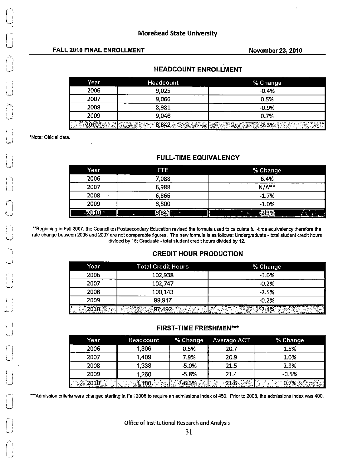# HEADCOUNT ENROLLMENT

| Year | <b>Headcount</b> | % Change                |
|------|------------------|-------------------------|
| 2006 | 9,025            | $-0.4%$                 |
| 2007 | 9,066            | 0.5%                    |
| 2008 | 8,981            | $-0.9%$                 |
| 2009 | 9,046            | 0.7%                    |
| ЖĆ   | ાન મા<br>化化 医无子的 | $3\%$ $-2.3\%$ $-2.3\%$ |

\*Note: Official data.

# FULL-TIME EQUIVALENCY

| Year | FTE.   | % Change                      |
|------|--------|-------------------------------|
| 2006 | 7,088  | 6.4%                          |
| 2007 | 6,988  | $N/A**$                       |
| 2008 | 6,866  | $-1.7%$                       |
| 2009 | 6,800  | $-1.0%$                       |
|      | (6,64) | -25%<br>3 Y 20<br><b>ROLL</b> |

\*\*Beginning in Fall2007, the Council on Postsecondary Education revised the formula used to calculate full-time equivalency therefore the rate change between 2006 and 2007 are not comparable figures. The new formula is as follows: Undergraduate- total student credit hours divided by 15; Graduate- total student credit hours divided by 12.

# CREDIT HOUR PRODUCTION

| Year | <b>Total Credit Hours</b> | % Change |
|------|---------------------------|----------|
| 2006 | 102,938                   | $-1.0%$  |
| 2007 | 102,747                   | $-0.2%$  |
| 2008 | 100,143                   | $-2.5%$  |
| 2009 | 99,917                    | $-0.2%$  |
|      | <b>Q2</b>                 |          |

# FIRST-TIME FRESHMEN\*\*\*

| Year | <b>Headcount</b> | % Change | <b>Average ACT</b> | % Change |
|------|------------------|----------|--------------------|----------|
| 2006 | 1,306            | 0.5%     | 20.7               | 1.5%     |
| 2007 | 1,409            | 7.9%     | 20.9               | 1.0%     |
| 2008 | 1,338            | -5.0%    | 21.5               | 2.9%     |
| 2009 | 1,260            | $-5.8%$  | 21.4               | $-0.5%$  |
|      |                  |          |                    |          |

\*\*\*Admission criteria were changed starting in Fall 2008 to require an admissions index of 450. Prior to 2008, the admissions index was 400.

Office of Institutional Research and Analysis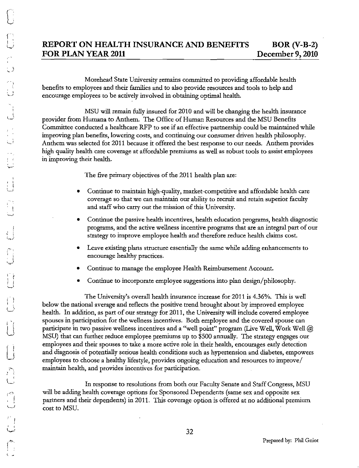#### **REPORT ON HEALTH INSURANCE AND BENEFITS FOR PLAN YEAR 2011 BOR(V-B-2) December 9, 2010**

Morehead State University remains committed to providing affordable health benefits to employees and their families and to also provide resources and tools to help and encourage employees to be actively involved in obtaining optimal health.

MSU will remain fully insured for 2010 and will be changing the health insurance provider from Humana to Anthem, The Office of Human Resources and the MSU Benefits Committee conducted a healthcare RFP to see if an effective partnership could be maintained while improving plan benefits, lowering costs, and continuing our consumer driven health philosophy. Anthem was selected for 2011 because it offered the best response to our needs. Anthem provides high quality health care coverage at affordable premiums as well as robust tools to assist employees in improving their health.

The five primary objectives of the 2011 health plan ate:

- Continue to maintain high-quality, market-competitive and affordable health care coverage so that we can maintain our ability to recruit and retain superior faculty and staff who carry out the mission of this University.
- Continue the passive health incentives, health education programs, health diagnostic programs, and the active wellness incentive programs that ate an integral part of our strategy to improve employee health and therefore reduce health claims cost.
- Leave existing plans structure essentially the same while adding enhancements to encourage healthy practices.
- Continue to manage the employee Health Reimbursement Account.
- Continue to incorporate employee suggestions into plan design/ philosophy.

The University's overall health insurance increase for 2011 is 4.36%. This is well below the national average and reflects the positive trend brought about by improved employee health. In addition, as part of our strategy for 2011, the University will include covered employee spouses in participation for the wellness incentives. Both employee and the covered spouse can participate in two passive wellness incentives and a "well point" program (Live Well, Work Well  $@$ MSU) that can further reduce employee premiums up to \$500 annually. The strategy engages our employees and their spouses to take a more active role in their health, encourages early detection and diagnosis of potentially serious health conditions such as hypertension and diabetes, empowers employees to choose a healthy lifestyle, provides ongoing education and resources to improve/ maintain health, and provides incentives for participation.

In response to resolutions from both our Faculty Senate and Staff Congress, MSU will be adding health coverage options for Sponsored Dependents (same sex and opposite sex partners and their dependents) in 2011. This coverage option is offered at no additional premium cost to MSU.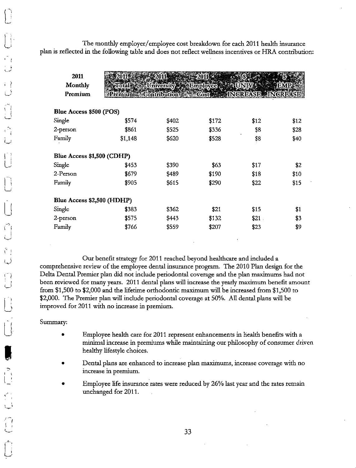The monthly employer/employee cost breakdown for each 2011 health insurance plan is reflected in the following table and does not reflect wellness incentives or HRA contribution:

| 2011<br>Monthly<br>Premium | 2011%<br>iiima. | University Employee<br><b>Contribution</b> | <b><i><u>Alexander 2010</u></i></b><br>Côsi | <b>GREASE LINGREASE</b> |      |  |  |  |  |
|----------------------------|-----------------|--------------------------------------------|---------------------------------------------|-------------------------|------|--|--|--|--|
| Blue Access \$500 (POS)    |                 |                                            |                                             |                         |      |  |  |  |  |
| Single                     | \$574           | \$402                                      | \$172                                       | \$12                    | \$12 |  |  |  |  |
| 2-person                   | \$861           | \$525                                      | \$336                                       | \$8                     | \$28 |  |  |  |  |
| Family                     | \$1,148         | \$620                                      | \$528                                       | \$8                     | \$40 |  |  |  |  |
| Blue Access \$1,500 (CDHP) |                 |                                            |                                             |                         |      |  |  |  |  |
| Single                     | \$453           | \$390                                      | \$63                                        | \$17                    | \$2  |  |  |  |  |
| 2-Person                   | \$679           | \$489                                      | \$190                                       | \$18                    | \$10 |  |  |  |  |
| Family                     | \$905           | \$615                                      | \$290                                       | \$22                    | \$15 |  |  |  |  |
| Blue Access \$2,500 (HDHP) |                 |                                            |                                             |                         |      |  |  |  |  |
| Single                     | \$383           | \$362                                      | \$21                                        | \$15                    | \$1  |  |  |  |  |
| 2-person                   | \$575           | \$443                                      | \$132                                       | $$21$ .                 | \$3  |  |  |  |  |
| Family                     | \$766           | \$559                                      | \$207                                       | \$23                    | \$9  |  |  |  |  |

Our benefit strategy for 2011 reached beyond healthcare and included a comprehensive review of the employee dental insurance program, The 2010 Plan design for the Delta Dental Premier plan did not include periodontal coverage and the plan maximums had not been reviewed for many years. 2011 dental plans will increase the yearly maximum benefit amount from \$1,500 to \$2,000 and the lifetime orthodontic maximum will be increased from \$1,500 to \$2,000. The Premier plan will include periodontal coverage at 50%. All dental plans will be improved for 2011 with no increase in premium.

# Summary:

- Employee health care for 2011 represent enhancements in health benefits with a minimal increase in premiums while maintaining our philosophy of consumer driven healthy lifestyle choices.
- Dental plans are enhanced to increase plan maximums, increase coverage with no increase in premium.
- Employee life insurance rates were reduced by 26% last year and the rates remain unchanged for 2011.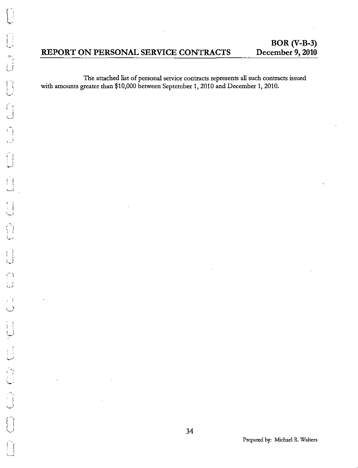The attached list of personal service contracts represents all such contracts issued with amounts greater than \$10,000 between September 1, 2010 and December 1, 2010.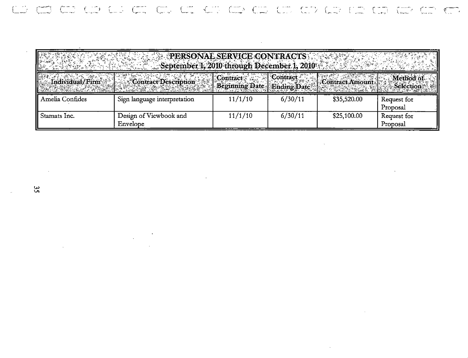$\mathcal{A}^{\text{max}}_{\text{max}}$ 

 $\label{eq:2.1} \mathcal{L}(\mathcal{L}(\mathcal{L})) = \mathcal{L}(\mathcal{L}(\mathcal{L})) = \mathcal{L}(\mathcal{L}(\mathcal{L})) = \mathcal{L}(\mathcal{L}(\mathcal{L})) = \mathcal{L}(\mathcal{L}(\mathcal{L}))$ 

 $\mathcal{L}(\mathcal{L}(\mathcal{L}(\mathcal{L}(\mathcal{L}(\mathcal{L}(\mathcal{L}(\mathcal{L}(\mathcal{L}(\mathcal{L}(\mathcal{L}(\mathcal{L}(\mathcal{L}(\mathcal{L}(\mathcal{L}(\mathcal{L}(\mathcal{L}(\mathcal{L}(\mathcal{L}(\mathcal{L}(\mathcal{L}(\mathcal{L}(\mathcal{L}(\mathcal{L}(\mathcal{L}(\mathcal{L}(\mathcal{L}(\mathcal{L}(\mathcal{L}(\mathcal{L}(\mathcal{L}(\mathcal{L}(\mathcal{L}(\mathcal{L}(\mathcal{L}(\mathcal{L}(\mathcal{$ 

| PERSONAL SERVICE CONTRACTS<br>$\sim$ September 1, 2010 through December 1, 2010 $\epsilon$ |                                    |                                                  |                 |                 |                               |  |  |
|--------------------------------------------------------------------------------------------|------------------------------------|--------------------------------------------------|-----------------|-----------------|-------------------------------|--|--|
| Individual/Firm                                                                            | <b>Contract Description</b>        | <b>Contract</b><br>Beginning Date   Ending Date" | <b>Contract</b> | Contract Amount | Method of<br><b>Selection</b> |  |  |
| Amelia Confides                                                                            | Sign language interpretation       | 11/1/10                                          | 6/30/11         | \$35,520.00     | Request for<br>Proposal       |  |  |
| Stamats Inc.                                                                               | Design of Viewbook and<br>Envelope | 11/1/10                                          | 6/30/11         | \$25,100.00     | Request for<br>Proposal       |  |  |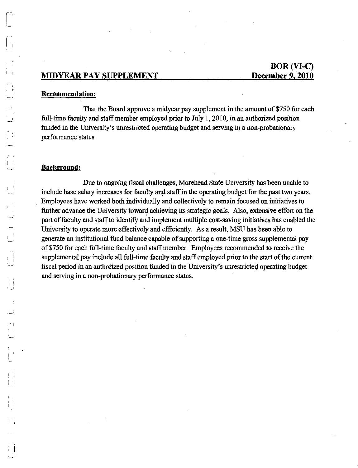# **Recommendation:**

I

I '  $\cup$ 

 $\gamma$  $\frac{1}{\sqrt{2}}$ 

I I J

' '  $~\cdot$ 

*<sup>i</sup>*I

That the Board approve a midyear pay supplement in the amount of \$750 for each full-time faculty and staff member employed prior to July 1, 2010, in an authorized position funded in the University's unrestricted operating budget and serving in a non-probationary performance status.

# **Background:**

Due to ongoing fiscal challenges, Morehead State University has been unable to include base salary increases for faculty and staff in the operating budget for the past two years. Employees have worked both individually and collectively to remain focused on initiatives to further advance the University toward achieving its strategic goals. Also, extensive effort on the part of faculty and staff to identify and implement multiple cost-saving initiatives has enabled the University to operate more effectively and efficiently. As a result, MSU has been able to generate an institutional fund balance capable of supporting a one-time gross supplemental pay of \$750 for each full-time faculty and staff member. Employees recommended to receive the supplemental pay include all full-time faculty and staff employed prior to the start of the current fiscal period in an authorized position funded in the University's unrestricted operating budget and serving in a non-probationary performance status.